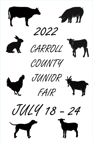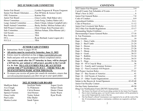# **2022 JUNIOR FAIR COMMITTEE**

|                                                                           | Senior Fair BoardLynden Ferguson & Wayne Ferguson           |
|---------------------------------------------------------------------------|-------------------------------------------------------------|
| Senior Fair Board Alternates  Pete M <sup>c</sup> Intire & Jessica Ujcich |                                                             |
|                                                                           |                                                             |
| Junior Fair Board Grace Leslie; Madi Baker (alt.)                         |                                                             |
| Horse Committee Carla Fasig; Lindsey Rakes (alt.)                         |                                                             |
|                                                                           | Large Animal Committee Darin Ulman; Johnna Campbell (alt.)  |
|                                                                           | Small Animal Committee Becky Stoller; Melissa Schaar (alt.) |
| Still Project CommitteeChris Ulman; Kim Poorman (alt.)                    |                                                             |
|                                                                           |                                                             |
|                                                                           |                                                             |
|                                                                           |                                                             |
|                                                                           |                                                             |
|                                                                           |                                                             |
|                                                                           |                                                             |

# **JUNIOR FAIR ENTRIES**

- Instructions: Refer to pages 49-50.  $\bullet$
- All entries must be received by Saturday, June 11, 2022.
- Entries must be submitted on-line at https://carrol.fairwire.com
- Stalls and pens will not be assigned without completed entries.
- Any entries made after the 2<sup>nd</sup> Saturday in June, will be charged  $\bullet$ a \$25 late fee, per animal or still project, payable to the Carroll Co. Jr. Fair. NO LATE ENTRIES WILL BE ACCEPTED AFTER THE 2ND SATURDAY IN JULY - THERE WILL BE **NO EXCEPTIONS MADE AFTER THIS DATE.**
- To ensure you receive all junior fair emails & reminders, ensure that carrollcountyjrfair@gmail.com does not go to your spam folder.

# **2022 JUNIOR FAIR BOARD**

Jocelynn Nuske

Madilynn Baker Ava Clough Maddy Faulk **Spencer Fierstos** Grace Leslie Paul Leslie Monica Lozier

Ty Pridemore Calvin Romeo Ariel Romeo **Tenley Schott** Ellie Shafer Sarah Tipton 1

Aspen Ujcich Dylan Ulman Dustin Ulman **Emily Wayts** Ryan Worth

# **CONTENTS**

| The Senior Fair Board will not be providing sawdust for the Junior Fair Program.<br>➤                                                     |  |
|-------------------------------------------------------------------------------------------------------------------------------------------|--|
| Due to lack of parking space, no Carroll County stock trailers will be permitted to<br>➤<br>stay on the Fairgrounds the week of the fair. |  |
| The Fair Board's official Veterinarian is not required to be on call the week of the<br>⋗                                                 |  |
| fair. If circumstances require a veterinarian, exhibitors are required to call their                                                      |  |
| own.                                                                                                                                      |  |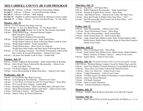# 2022 CARROLL COUNTY JR. FAIR PROGRAM

Sat June  $25 - 9:00$  am - 12:00 pm - Still Project Knowledge Judging **Sat July 9** – 9:00 am - 12:00 pm – Livestock Knowledge Judging **Sat July 9** – 9:00 am - 12:00 pm – OME Judging Sat July 16 – Deadline to submit required animal  $\&$  still project pictures online Sun July  $17 - 12:00$ pm - 4:00 pm - Jr. Fair Arm Band Pickup - Sr. Fair Office

# **Monday, July 18**

7:00 am - Jr. Fair Animals May Begin Arriving  $2:00 - 6:00$  pm  $-$  Jr. Fair Arm Band Pickup  $-$  Sr. Fair Board Office 5:00 pm – ALL JR. FAIR Animals Are To Be On The Grounds And Stalled 5:00 pm – Weigh Market Hogs – Rosebud Mining Complex (Barn closed for weigh-in) Weigh Market Chickens Following Hogs 5:00 pm - Weigh Market Lambs & Goats - Small Animal Barn Weigh Market Turkeys & Ducks Following Market Lambs & Goats 5:00 pm - Weigh Market Rabbits - Small Animal Barn  $6:00 \text{ pm}$  – Weigh Market Steers – (Barn closed for weigh-in) Weigh Dairy Beef Feeders and Dairy Steers Following Beef Steers 8:00 pm – Jr. Fair Opening Ceremony - Fair Royalty Presentation, Followed By The Cowboy & Cowgirl Presentation  $-$  Ashton Event Center

9:00 pm - All Junior Fair Booths To Be In Place - Exhibit Hall

# Tuesday, July 19

9:00 am - Poultry Judging & Showmanship - Small Animal Barn & Rosebud 9:00 am - Dairy Breed Classes Followed By Showmanship - Ashton Event Center with Open Class

 $9:30$  am  $-4$ -H Booth Judging  $-$  Exhibit Hall

5:00 pm – Swine Showmanship & Market Hog Show – Ashton Event Center

# **Wednesday, July 20**

 $7:00$  am  $-$  Jr. Fair Horses May Begin Arriving

9:00 am – Goat Judging & Showmanship – Ashton Event Center

1:00 pm – Jr. Fair Horse Vet Check-In (with Vet Check Papers) – Horse Barn

1:00 pm – FFA Crop & Show Judging – Exhibit Hall

5:30 pm – Breeding Sheep Show – Open Class Sheep Barn with Open Class

7:00 pm – Sheep Showmanship & Market Lamb Show – Ashton Event Center

- 6:30 pm Still Project Auction AEP Speed Barn
- 8:30 pm Market Turkey & Chicken Dismissal

# Thursday, July 21

 $9:00 \text{ am} - \text{Dog Show} - \text{AEP Speed Barn}$ 

9:00 am – Rabbit Judging & Showmanship – Small Animal Barn

 $9:00$  am – Western & English Horse Classes – Horse Ring

12:30 pm – Beef Breed Classes – Ashton Event Center with Open Class

- 2:30 pm Dairy Beef Feeder & Market Dairy Steer Show AEC\*
- 6:30 pm Beef Showmanship, Beef Feeder Calf, & Steer Show  $AEC^*$ \* Ashton Event Center

# **Friday, July 22**

 $9:00$  am – Super Showmanship – Ashton Event Center

- 11:30 am Horse Performance Classes Horse Ring
- 1:30 pm Pee Wee Showmanship Small Animal Barn
- 3:00 pm Small Animal Dress Up Small Animal Barn
- 6:00 pm Large Animal Sale (Market Lambs, Dairy Product Baskets, Dairy Market Steers, Market Steers, Market Hogs, & Dairy Beef Feeders) -**Ashton Event Center**

# **Saturday, July 23**

 $9:00$  am – Horse Contesting Events – Horse Ring

1:30 pm - Small Animal Sale (Market Goats, Market Ducks, Market Rabbits, Market Chickens, & Market Turkeys) - Ashton Event Center 8:00 pm - Square Dance - Ashton Event Center

**Sunday, July 24** (No market livestock will be in the barns for public viewing) 6:00-8:00 am - Rosebud Mining Complex Closed for Market Hog Load-Out 6:00 am - Junior Fair Market Livestock Dismissal, Except Rabbits & Poultry 10:00 am - Horse Dress Up Contest Followed By Mounted Games 11:00 am - Dairy Cow Dress  $Up -$  Ashton Event Center 1:00 pm – Trophy Presentation – Ashton Event Center 2:00 pm – All Other Junior Fair Market & Breeding Livestock Dismissal 4:00 pm – Junior Fair Horse Dismissal 7:00 pm - 4-H Booth Dismissal 8:00 pm – Open Livestock Dismissal  $11:00 \text{ pm} - \text{V}$ ehicles Permitted on Midway

# **Monday, July 25**

12:00 pm - Exhibits Must Be Removed & Barn Areas Must Be Cleaned

# **Tuesday, July 26**

7:00 pm – Small Animal Pick-Up Of Processed Poultry & Rabbits (pg. 14, #25-26)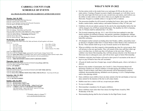# **CARROLL COUNTY FAIR SCHEDULE OF EVENTS**

#### ALL TRACK SEATING MUST BE CLEARED OUT AFTER EVERY EVENT!

#### **Monday, July 18, 2022**

2:00-6:00 P.M. Horticulture Hall Items Received 6:00 P.M. Carroll County Tractor Pulls 8:00 P.M. Jr Fair Opening Ceremony & Fair Royalty Presentation 9:30 P.M. Back to the Barn Glow Run/Walk

#### Tuesday, July 19, 2022

8:30 A.M. Fair Officially Opens 9:00 A.M. Judging - Horticulture and Floral Hall 9:00 A.M. Open Class Dairy Cattle Judging & Jr. Dairy Combined 12:00 P.M. Flag raising by Carroll County Council of the VFW 12:00 P.M. Harness Racing - Colt Racing (Pari-Mutual) 1:00 P.M. Flower Show Open 5:00 P.M. Harness Racing - Filly Racing (Pari-Mutual)

### Wednesday, July 20, 2022

9:00 A.M. Weigh-in for Pedal Tractor Pull. Male and female will pull together in all classes. Classes are:

- 1.  $0 \text{ to } 45 \text{ lbs.}$
- Over 45 to 55 lbs. 2.
- Over 100 to 125 lbs. 6. Over 125 to 150 lbs. 7.
- 
- Over  $55$  to  $65$  lbs.  $\mathbf{3}$ 4. Over  $65$  to  $75$  lbs.
	-
- 5. Over 75 to 100 lbs.
- 8. Over 150 lbs. 9. Senior citizens, 55 or older.
- 

#### 10:00 A.M. Pedal Tractor Pull

9:00 A.M.-12:00 P.M. Tractor Games, sponsored by Carroll County Antique Tractor Club 11:00 A.M. Senior Sing-Along in Friendship Center, prizes will be awarded for longest married couple, oldest gentleman, oldest lady, newest married couple and person with most grandchildren 5:30 P.M. Open Class Sheep Judging 7:00 P.M. – OHIO MOTOCROSS ASSOCIATION FAIRCROSS SERIES

#### Thursday, July 21, 2022

9:00 A.M. Carroll County Tractor Pull DEAD WEIGHT (Cut off time 4:00 P.M.) 12:30 P.M. Open Class Beef Cattle Judging 6:00 P.M. ATV RODEO

#### **Friday, July 22, 2022**

9:00 A.M. Carroll County Tractor Pull DEAD WEIGHT (CUT OFF TIME 4:00 P.M.) 1:00 P.M. Flower Show Open 7:00 P.M. FULL PULL PRODUCTIONS TRACTOR & TRUCK PULLS - Track Seats \$5.00 each.

#### Saturday, July 23, 2022

11:00 A.M. Pony Pull 7:00 P.M. BUCKEYE RODEO

#### **Sunday, July 24, 2022**

- 8:00 A.M. Mod Rod Pullers Weigh-In
- 9:00 A.M. Mod Rod Pullers (finish 2 PM)
- 10:00 A.M. Church service with The Bridge Ashton Event Center
- 6:00 P.M. CARROLL COUNTY FAIR DEMOLITION DERBY Auto Demo Derby - Open to the World - must be 18 or older. (Must have Pit Pass to Enter Pit Area)

#### \*\*\*Schedule subject to change\*\*\* www.carrollcountyfairohio.com

- **WHAT'S NEW IN 2022**
- On-line entries (refer to the inside front cover and pages  $49-50$ ) are the only way to make entries. Creating a Passport account is highly encouraged, as it will allow you to have the same login info from year to year, see previous year entries, and it allows you the ability to make entries at other shows (that you are eligible for) that utilize Showorks. Passport is available online or via app for iOS or Android.
- The possession deadline for all livestock (excluding beef steers, dairy steers, dairy beef feeders, market ducks, market turkeys, and market chickens) is May 14<sup>th</sup> this year.
- Exhibitors who do not submit a picture for the sale by the stated deadline before the fair will be charged a fee of \$50 per animal/still project. The deadline for 2022 is Saturday, July 16. Pictures shall be submitted July 1-16, 2022.
- The livestock tampering rule (pg. 10-11, rule  $#22(A)$ ) has been updated to state that family members are defined as parents, step-parents, guardians, grandparents, siblings, or step-siblings. Permanent household members have been removed from those who can help/offer assistance.
- All champion market animals (excluding dairy beef feeders, rabbits, and poultry) must go directly to slaughter (either Don's Custom Meats or Kiko Meats) at the conclusion of the fair. These animals shall not go to any livestock auction or be taken home.
- When an exhibitor wins their respective showmanship age class for a given specie, they will advance to the next age bracket. They will remain in this class until they either age out or win that class, in which case they will advance to the next class. When an exhibitor wins Senior Showmanship, they will then advance directly to the Showman of Showmen class in subsequent years, and will not show again in Senior Showmanship.
- Exhibitors with dairy beef feeders will need to show proof of vaccination at the time of tag-in or pay \$5/head to have the calf vaccinated.
- All goats & lambs must have Scrapie tags, except LaMancha goats, where a tail tattoo is allowed.
- Based on the number of participants, the Carroll Co. Dairy Promotion Board will determine if baskets are sold per exhibitor or divided among all exhibitors based on shares. If sold on shares, each share in the proceeds will be determined by projects exhibited, showmanship placing, skillathon score & placing, Jr. & Sr. Championships, and/or class placings earned.
- Dairy exhibitors must exhibit at least one dairy animal at the fair and display at least one dairy animal for the duration of the fair to sell a dairy basket.
- Rabbits must have a tattoo in left ear, except meat pen rabbits.
- No toys in rabbit pens.
- Showmanship is mandatory for all equine exhibitors.
- Horse exhibitors must select their four classes for High Points Award by 3PM Wednesday of the fair.
- Showmanship placing shall be the tie breaker for the High Points Award.

5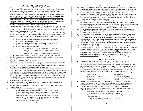#### **JUNIOR FAIR GENERAL RULES**

- 1. Entries open to any girl or boy between the ages of eight and nineteen years of age as of January 1, 2022 and in the third grade. The youth must be a member of, or enrolled in 4-H, Vocational Agriculture, Vocational Home Economics, Boy Scouts, Girl Scouts, or another youth organization in Carroll County.
- 2. All projects must be entered by the deadline date of the  $2<sup>nd</sup>$  Saturday in June (horse exhibitors see Horse Department). Projects cannot be shown or sold without an entry. Any entries made after the  $2<sup>nd</sup>$  Saturday of June, will be charged a \$25 late fee, per animal or still project, payable to Carroll Co. Jr. Fair. Late entries will only be accepted on the conditions that a pen/stall is available, AND that the exhibitor realizes that they may not be penned/stalled with their club. No late entries will be accepted after the 2<sup>nd</sup> Saturday in July.
- Jr. Fair participants are restricted to exhibiting in only one county.  $3.$
- The Junior Fair is under the jurisdiction of the Junior Fair Committee and the Senior Fair Board.  $4<sup>1</sup>$ All rules and regulations pertaining to the general conduct of the Senior Fair apply to the junior exhibitors. The Junior Fair Committee and the Senior Fair Board will decide any situation not covered in these rules. Their decision is final.
- $5.$ All projects exhibited in Jr. Fair Booths must be in place in the exhibit hall by 9:00 pm Monday, July 18. Exhibits may be placed in booths beginning on Sunday, July 17. All exhibits must be removed by 12:00 noon, Monday, July 25. All livestock exhibits must be in place according to the following schedule:
	- Livestock is to be stalled upon arriving at the fairgrounds, where the fair veterinarian will walk through the barns.
	- A copy of the health certificate must be presented at the gate before the livestock is permitted to enter the fairgrounds and be unloaded.
	- Livestock will be dismissed as follows:
		- Wednesday, July 20 8:30 pm Market chickens & turkeys  $\circ$
		- Sunday, July 24 6:00 am Jr. Fair market livestock dismissed  $\circ$ (except Rabbits)
		- o Sunday, July  $24 2:00$  pm All other livestock (except horses)
	- Early removal of livestock or projects will result in a loss of club premiums.
- All exhibits must contain the specified amounts and be made in accordance with the exhibit 6. requirements for the project.
- $7.$ No exhibit can be shown under more than one name.
- Exhibitors of the Junior Fair may enter the Open Classes by conforming to the rules of the Open 8. Class. Junior Fair members who wish to show in the Open Class must submit their entries to the Secretary of the Senior Fair Board in accordance with the Open Show rules and deadlines. No entry fee, except for late entries, will be charged in the Junior Fair.
- 9. All livestock exhibited at the fair must meet the health requirements established by the Ohio Dept. of Agriculture. These rules are outlined in this book under the health regulations section of the General Rules. This also includes regulations passed during the printing of this book. It is the responsibility of the exhibitors for testing the livestock in accordance with health regulations.
- $10.$ Junior Fair exhibitors will not be permitted to stay in the barns at night. The Sr. Fair Office shall be notified by the 4-H Clubs or Advisors of all watch persons scheduled for night monitoring of the Jr. Fair Livestock Barns the week of the Fair.
- 11. All decorative material must be fireproof.
- 12. A judge's decision is final. All other concerns must be referred in writing to the grievance committee or the horse show steward.
- 13. All commercial farm displays in the Junior Fair are limited to overhead space only, i.e. no booths or displays.
- 14. All protests and grievances must use the following procedures:
	- (A.) It must be submitted in writing to the Junior Fair Office within 24 hours of the action or class being protested. A fee of \$50.00 must be paid at the time of filing the grievance. If the grievance is found to be in favor of the applicant, the money will be returned to the applicant. If not in favor of the applicant, then the money will be retained by the Jr. Fair. Decisions on protests and grievances will be decided upon by the Jr. Fair Committee.
	- (B.) All decisions of the committee are final.

(C.) Written decisions may be picked up at the Junior Fair Office.

- 15. The board will take every precaution in its power for the safe preservation of stock and articles on exhibition; this includes Jr. Fair exhibitors, after their arrival and arrangement on the ground, but will not be responsible for any damages that might occur. Exhibitors are requested to give attention to their articles at the close of the fair and to attend to their removal.
- 16. Exhibitors are expected to conduct themselves in an orderly and courteous manner. Harassment, profanity, or unsportsmanlike conduct toward fair officials, judges, show manager, help, fair attendees, or exhibitors will not be tolerated. Violators will be dismissed from the show, asked to leave, and may forfeit all premiums and awards.
- 17. Exhibitor dress during all shows, classes, and sales shall be neat, clean, and respectable. Dresses or shirts must have sleeves. No shorts, tube tops, tank tops, halter tops, sheer clothing, sunglasses, or hats. Skirts must be fingertip length. Exception – hats are permitted in horse classes. Exhibitors will not be allowed to show/sell if they are wearing inappropriate clothing. Still Project Auction participants must abide by the dress code as stated in Still Project Auction rules.
- 18. No Sr. Fair Board picnic tables or benches are to be placed in barns. Clubs are permitted one picnic table and one bench per club, if space is available. This is on a first come first serve basis, and must be provided by the club.
- 19. Noncompliance with any Junior Fair rule may result in forfeiture of all premiums and awards.
- 20. Any unclaimed junior fair awards will be forfeited 30 days after the conclusion of the fair.
- 21. All Animals (except rabbits and poultry) MUST have a Health Certificate. This is to be obtained no more than 30 days prior to the fair. Upon arriving, health certificates are to be collected at the gate before the animal(s) is/are permitted to enter and unload at the fairgrounds. All poultry must meet pullorum guidelines as outlined in Ohio Revised Code 901:1-18-05 (see pages 15-17).
- 22. No unauthorized golf carts, at v's, or utility vehicles will be allowed on the grounds after 11 am.
- 23. By making an entry in the Jr. Fair, the exhibitor and their guardian give permission for the Sr. Fair Board to publish any photos taken by the fair photographer during the fair on the fair's website (including social media), or any published material. If you do NOT wish to have any photos published on the fair website (or social media), the Jr. Fair Secretary must receive written notification by July 15. He may be contacted with questions at 234-521-3909 or carrollcountyjrfair@gmail.com. The fair photographer will always wear an ID badge.

### **CODE OF CONDUCT**

- Anyone attending events either as an exhibitor, advisor, volunteer, parent, spectator,  $\bullet$ superintendent, judge, committee member, or fair official must conduct themselves in a manner consistent with this Code of Conduct, and according to the Rules and Regulations of the Carroll County Agricultural Society, dba Carroll County Fair. These codes of conduct and rules are not limited to the show ring, but are applicable to any event held at the Carroll County Fairgrounds, including but not limited to meetings, workshops, clinics, contests, shows, county fair, etc. Consequences to violating this code of conduct may include, but are not limited to:
	- 1. Verbal warning
	- $2.$ Written warning

of premiums

- auction proceeds
- $3.$ Removal from the fairgrounds  $4.$ Suspension, reduction, and/or loss
- 6. Loss of future show privileges 7. Loss of privilege to be on fairground property

5. Suspension, reduction, and/or loss of

- The act of making an entry in the fair, participating, and/or attending such events on the Carroll County Fairgrounds is giving verification that you will abide by the code of conduct and understand the consequences of and penalties provided for actions prohibited by the code.
- EXHIBITORS, ADVISORS, VOLUNTEERS, PARENTS, FAMILY MEMBERS, SPECTATORS, SUPERINTENDENTS, JUDGES, COMMITTEE MEMBERS, AND FAIR **OFFICIALS MUST:** 
	- $1.$ Be responsible for your own behavior/conduct and uphold high standards for the group and accept consequences for inappropriate behavior.
	- Support and abide by the rules set forth by the Fair Board, Superintendents, 2. Committees, and Clubs.
	- Practice good citizenship, leadership, and self-governance.  $3.$
	- Follow the direction of staff.  $\overline{4}$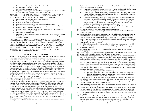- Demonstrate positive sportsmanship and attitudes at all times. 5.
- Be courteous and respectful to others. 6.
- 7. Use appropriate language at all t6es.
- 8. Respect and adhere to guidelines of the Carroll County Fair Code of Conduct, and all rules and regulations that apply to participation/competition.
- BEHAVIOR, CONDUCT, AND ACTIVITIES NOT PERMITTED AT EVENTS HELD AT  $\bullet$ THE CARROLL COUNTY FAIRGROUNDS AND AT OHIO STATE UNIVERSITY EXTENSION ACTIVITIES RELATED TO THE CARROLL COUNTY FAIR:
	- Un-sportsman like, unethical, and/or immoral conduct.  $1.$
	- $2.$ Improper language (profanity).
	- $\overline{3}$ . Bullying, intimidation, and/or belittling.
	- 4. Possession or consumption of alcohol, except at sanctioned events.
	- Possession or consumption of illegal drugs, including the use of tobacco by a minor. 5.
	- Possession or use of weapons or fireworks. 6.
	- Possession or use of harmful objects with the intent to harm or intimidate others.  $7.$
	- Destruction of property (i.e. Graffiti, etc.). 8.
	- Violation of established curfew. 9.
	- 10. Disrespect for adults, other participants, volunteers, staff, and/or leaders of the event.
	- 11. Postings, listings, and/or pictures that are deemed inappropriate on the fairgrounds or social media forums.
- THE CARROLL COUNTY AGRICULTURAL SOCIETY BOARD OF DIRECTORS RESERVES THE RIGHT TO REMOVE ANY PERSON, AT THEIR DISCRETION, FROM THE GROUNDS WHO VIOLATES THE RULES AND REGULATIONS AND/OR THE CODE OF CONDUCT. THE CARROLL COUNTY AGRICULTURAL SOCIETY BOARD OF DIRECTORS RESERVE THE RIGHT TO AMEND, CHANGE, OR ADD TO THESE RULES AND REGULATIONS AS THEY. IN THEIR JUDGEMENT, MAY DEEM ADVISABLE. ALL DECISIONS OF THE CARROLL COUNTY AGRICULTURAL SOCIETY BOARD OF DIRECTORS ARE FINAL!

#### **AGRICULTURAL EXHIBITS**

- All animals must be shown by the Jr. Fair member who owns them, unless physically impaired;  $1.$ otherwise, another Carroll County Jr. Fair exhibitor must show the animal.
- 2. All livestock exhibits must be in the Jr. Fair exhibitor's complete possession by the second Saturday in May for all animals, except: beef & dairy steers (fall tag-in) and dairy beef feeders (March 26). Market chickens, ducks, and turkeys must be ordered through the Jr. Fair Sale Committee, and the possession deadline will be the date of delivery of the chicks. Ownership and possession is lost if the animal has been consigned or sold through an auction or other type of transaction, even if the exhibitor "buys back" the animal. If the exhibitor houses the animal away from their home, their advisor should be informed of the whereabouts of the animal.
- $3.$ Jr. Fair families (immediate) may tag-in animals as "family" animals. Each family is limited to tagging in four animals per exhibitor, with two being for market and two being for carcass. Dairy beef feeder exhibitors are limited to two calves each. Market animals will be identified to the respective exhibitor at the county fair weigh-in.
- Registered animals must be registered in the name of the Jr. Fair member, in partnership with a  $4.$ parent, or in the family or farm name.
- $\sim$ Each exhibitor of livestock is responsible for the care and feeding of their animals and the upkeep of pens at all times. Failure to do so will result in forfeiture of all club premiums and awards.
- 6. All animals shall be fed, watered, and pens must be cleaned by 9:00 am and then maintained daily. Following the fair, pens must be cleaned by 12:00 noon on Monday, July 25. Club premiums and exhibitor awards will be forfeited if pens are not cleaned daily or after the fair.
- To ensure that the common areas of the Jr. Fair livestock facilities remain clean and presentable 7. to the public, Jr. Fair officials will assign barn duty to clubs based on the numbers of entries their club has in each barn. Clubs will be responsible for signing in at the start of their shift in the Jr. Fair Office, and signing out at the end of their shift in the Jr. Fair Office. Failure to sign in and/or keep their assigned barn area cleaned during the club's barn duty will result in their club's premium money being withheld.
- 8. Animal pens/stalls will be checked at least once daily, if not more, for cleanliness and dryness

by the Jr. Fair Coordinator and/or his/her designee(s). If a pen/stall is found to be unsatisfactory, a three strike policy will be followed.

- (A) The first time a pen/stall is found to be unclean, a warning will be issued. The first warning will be posted via a prominent, fluorescent sign on the exhibitor's pen/stall.
- (B) The second time a pen/stall is found to be unclean, a warning will be issued. The second warning will be posted via a prominent, fluorescent sign (larger than the first warning's sign size) on the exhibitor's pen/stall.
- $(C)$ The third time a pen/stall is found to be unclean, the exhibitor will be notified that they must remove the animal from the fairgrounds by 9 am the following day. The exception would be all market hogs, which must be taken to slaughter as soon as a slaughter house can take the animal. Additionally, the exhibitor will forfeit their ability to show that species at the Carroll County Jr. Fair for a period of one year.
- 9. No cleaning of pens between  $6.00 8.00$  am on Sunday, July 24. Market poultry pens may not be cleaned between  $4:00 - 8:30$  pm on Wednesday, July 20.
- 10. No barn decorations are to be removed until animals are dismissed.
- Exhibitors are responsible for contacting the veterinarian of their choice to have their animals  $11.$ tested before the fair.
- 12. Exhibitors will be assigned barn space by the Jr. Fair officials. These assignments may not be switched. Violators will have club premiums and exhibitor awards forfeited. When feasible, Jr. Fair officials may assign exhibitor's Jr. Fair livestock to barn areas where their family's open entries are housed, except market livestock. All market livestock must be housed in their assigned Junior Fair area. Only animals to be shown in a Junior Fair class are permitted to be housed in the Junior Fair Barns.
- 13. No club premium money will be awarded unless all Jr. Fair requirements are met by the club's members. No chapter premiums will be awarded to a FFA chapter if FFA members' project books are not up to date.
- 14. All exhibits must be from the 4-H, FCCLA, Boy/Girl Scout project, or the FFA member's farming program.
- 15. Unruly animals that cannot be shown by the owner are not eligible for the market classes or sale.
- 16. Jr. Fair exhibitors shall not display "For Sale" signs on pens or stalls.
- 17. Tampering and/or misrepresentation as to breeding, age, ownership, and any other irregularity in showing will be considered fraud and deception. Any trophies, awards, or sale money won by such an exhibitor will be withheld. Any artificial means of removing or remedying the physical characteristics or confirmation of animals, such as lifting and filling, use of string, artificial heels, etc., will be considered fraud and deception. The use of artificial tail head or altering the natural color of any animal shall be considered fraud and deception. No coloring may be used. All animals giving evidence of such treatment shall be dismissed from the competition. Should fraud or deception be discovered after the animal(s) has been shown and prior to the sale, such animals(s) shall not be permitted to sell.
	- (A.) The animals placing next in line shall move up.
	- (B.) Should the violation be discovered after the sale, all sale money shall be returned to the buyer and the animal or carcass returned to the exhibitor. In all animal classes, these regulations will be in full force and effect.
- 18. If any exhibitors, parents, or other parties suspect or have information about any type of rule infractions or animal mistreatment, it should be brought to the attention of any of the Jr. Fair officials. When such infractions are discovered, they will be investigated, and a ruling will be made by a grievance committee, when appropriate.
- 19. Individuals and/or families found to violate rules concerning fraud and deception may be barred from showing the species in question, for a period of one year.
- 20. Animals tagged for identification purposes must arrive at the fair weigh-in with original tags in the ears. The Jr. Fair Coordinator (Lynden Ferguson  $-330-627-2300x205$ ) must be notified immediately if ear tags are lost or become separated from the animal before arrival at the fair.
- 21. All underweight animals may be shown and not sold only if the fair veterinarian determines they are healthy.
- 22. Jr. Fair members should enroll in market livestock projects in order to learn the responsibility of caring for animals, proper feed and care practices, good management practices, accurate record keeping, and to learn by doing. NOTE: Professional grooming is strictly prohibited on the fairgrounds for all market animals. For breeding project animals, professional grooming is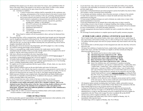prohibited if the animals are to be shown in the Junior Fair classes, and is prohibited within 24 hours of the Junior Show if the animal is to be shown in open classes. In other words, animals can be groomed by a professional for open classes but not for junior classes.

- (A) Assistance to exhibitor:
	- a. A junior livestock show exhibitor shall be responsible for the continuous care, grooming, and preparation of the livestock entered in the junior livestock show.
	- b. An exhibitor may receive assistance in the care, grooming, and preparation of the livestock entered in the junior livestock show, provided that the assistance shall be limited to explanation or demonstration provided by the following:
		- (1) Family members *(defined as parents, step-parents, guardians,* grandparents, siblings, or step-siblings);
		- (2) 4-H or FFA advisors in the exhibitor's club or county;
		- (3) County Extension Educators:
		- (4) Department representatives;
		- (5) Veterinarians;
		- $(6)$  Carroll County Jr. Fair members of a 4-H club, FFA chapter, or other youth organizations;
- (B) Those found in violation will not be permitted to show, and may be dismissed from the fair.
- 23. The market hog show will be a terminal show, and all market hogs brought onto the fairgrounds must be slaughtered immediately following the fair. This includes underweight hogs and other hogs not sold in the Jr. Fair Livestock Sale. If you have an underweight hog or other hog not sold in the fair sale, you must sign an affidavit attesting that your particular hog will be sold for slaughter immediately after the fair.
- 24. Breeding gilts will not be housed on the fairgrounds, and will be judged via a video recording.
- 25. No common watering tubs/troughs will be permitted.
- 26. If there is a non-qualifying weight (market animals), the weigh master must be notified immediately that the member wishes to reweigh, and the animal will be reweighed at the end of weigh-in, with the scales being zeroed for every reweigh.
- 27. Only show officials are permitted in the show ring during classes.
- 28. All market livestock (except rabbits and poultry) must be properly castrated prior to tag-in. If not properly castrated prior to tag-in, they will not be tagged in.
- 29. All market lambs and goats (female & male animals) must have a Scrapie tag at the time of tag-in.
- 30. Jr. Fair livestock exhibitors are not permitted to compete against themselves in Jr. Fair breeding classes, excluding championship, poultry, and rabbit classes.
- 31. No supplies are to be kept in goat pens that have goats in them. All tack, chairs, etc. may only be kept in empty goat pens.
- 32. Market chicken exhibitors must use the provided feeders and waters for their pens.
- 33. When allowed by Jr. Fair officials, fans must be connected to a surge protector or power strip. No frayed extension cords are allowed. If hung, fans must be secured with wire or chain. No fans are allowed to be hung from the sun curtain wire on the Jr. Fair Small Animal & Dairy Barns.
- 34. Rabbit meat pen exhibitors must complete both a Breeding Rabbit and Market Rabbit project book (4-H) or comparable record book (FFA). In addition to the meat pen, exhibitors must exhibit a breeding rabbit of the same breed.
- 35. Jr. Fair livestock must stay in the vicinity of the barn in which they are housed.
- 36. Drenching of livestock is prohibited except when diagnosed by a licensed veterinarian
- 37. All Animals (except rabbits and poultry) MUST have a Health Certificate. This is to be obtained no more than 30 days prior to the fair. Upon arriving, health certificates are to be collected at the gate before the animal(s) is/are permitted to enter and unload at the fairgrounds. All poultry must meet pullorum guidelines as outlined in Ohio Administrative Code 901:1-18-05 (see pages 15-17).

NOTE: Chapter 901-19: Ohio's Livestock Tampering Exhibition Rules will be made available to a livestock exhibitor or adult advisor, upon request.

### **CODE OF PRACTICES**

The following describes general responsibilities of the farmer and all persons in their authority, in the proper care and handling of animals raised for food and fiber.

- To provide food, water, and care necessary to protect the health and welfare of my animals.
- To provide a safe and healthy environment for my animals that is clean, well ventilated, and provides ample space.
- To provide a well-planned disease prevention program to protect the health of my herd or flock. This includes a strong veterinarian/client relationship.
- To use humane and sanitary methods, when it becomes necessary, to dispose of my animals.
- To make timely inspections of all animals to evaluate the health and insure that all basic requirements are being met.
- To insure proper handling techniques are used to eliminate any undue stress or injury when manual manipulation is necessary.
- To provide transportation for my animals that avoids undue stress or injury caused by overcrowding, excessive time in transit, or improper handling when loading or unloading.
- The willful mistreatment of my animals or the mistreatment of any animal will not be tolerated. In cases of mistreatment, I will notify the proper authorities.
- To make management decisions based on scientific fact and to consider the welfare of my animals.
- We encourage livestock producers to complete species-specific quality assurance programs.

#### **JUNIOR FAIR LARGE ANIMAL LIVESTOCK SALE RULES**

- Sale of market lambs, dairy product baskets, dairy steers, market beef steers, market hogs,  $\&$ 1. dairy beef feeders will be held on Friday, July 22, 2022 at 6:00 pm in the Ashton Event Center.
- $2.$ An exhibitor and their project sale item (live project animals only) must remain in the sale ring at all times.
- If an exhibitor fails to sell their project in their designated sale order slot, then they will not be  $3.$ allowed to sell.
- $4.$ All Junior Fair exhibitors of market beef steers, market lambs, market hogs, dairy baskets, market dairy steers, and dairy beef feeders are eligible to sell their animals providing the following qualifications are met:
	- (A) The animals must be shown in their market classes.
	- $(B)$  All market hogs must weigh between  $220 300$  lbs.
	- (C) All market lambs must weigh a minimum of 100 lbs.
	- (D) All market steers must weigh a minimum of 900 lbs.
	- (E) Dairy beef feeders must weigh between  $400 750$  lbs.
	- (F) Market dairy steers must weigh between  $1,050 1,650$  lbs.
	- (G) Junior Fair exhibitors may sell a maximum of 3 products (including champions) limited to 1 per species (1 market beef steer, 1 market dairy steer, 1 market lamb, 1 market hog, 1 dairy product basket, 1 dairy beef feeder, 1 market goat, 1 meat pen of rabbits, 1 market turkey, 1 pen of market ducks, and 1 pen of broilers) at the Junior Fair Livestock Sales (total of 2 in Large Animal Sale). Grand and Reserve animals are not required to sell, but Large Animal Grand and Reserve projects must go to slaughter according the State Rule 901-19-02. If an exhibitor shows both the Grand and Reserve Champion in a species, both of these animals may sell.
	- (H) Exhibitors will be allowed to sell a champion carcass project and live animal of the same species. The two items would each count towards the limit of two items in one sale and three livestock items in total.
- All champion market animals (excluding dairy beef feeders, rabbits, and poultry) must go 5. directly to slaughter (either Don's Custom Meats or Kiko Meats) at the conclusion of the fair. These animals shall not go to any livestock auction or be taken home.
- 6. A Drug Use Notification Form (DUNF) must be properly filled out and electronically submitted prior to the time of weigh-in. If a DUNF has not been properly filled out and submitted prior to weigh-in, then that animal will not be weighed and will not be eligible for competition at the fair. Please refer to page 50 on how to properly fill out the DUNF.
- All beef steers will be weighed on Monday, July 18 at 6:00 pm. 7.
- All dairy beef feeders and market dairy steers will be weighed on Monday, July 18, 8. immediately following beef steers.
- $9<sub>1</sub>$ All market hogs will be weighed on Monday, July 18 at 5:00 pm.

11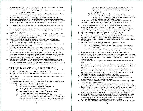- 10. All market lambs will be weighed on Monday, July 18 at 5:00 pm in the Small Animal Barn. 11. The sale order for each species will be determined as follows:
	- (A) Grand Champion and Reserve Champion animals will be sold first and second regardless of weight class.
	- (B) Following champions, remaining animals will be sold based on class placing.
- 12. Auctioneers will not read any letters from exhibitors during the sale.
- 13. Buyer thank you baskets are not to be given to sale clerks for distribution to buyers.
- 14. Animals are to be paid for at the conclusion of the sale, unless prior arrangements have been made with the Sale Committee Treasurer. Buyers will be charged a 2% per month late fee after 30 days for unpaid bills for buyers who do not have made prior arrangements with the Sale Committee Treasurer.
- 15. Any incurred bank fees will be passed on to the buyer due to checks received NSF from the bank.
- 16. Animals sold will be released to the buyer on Sunday, July 24 at 6:00 am. Animals will not be released to the buyer unless proper payment has been made. Buyer must show proof of purchase at time of pickup.
- 17. Exhibitors must feed and care for all market livestock until 6:00 am on Sunday, July 24. After 6:00 am, the animal becomes the property and liability of the buyer, if payment has been made, with the exception of failing carcass inspection.
- 18. Members will be held responsible for any carcass condemned due to drug residues.
- 19. The purpose of the market animal project is for the animal to go to slaughter for human consumption, not for the member to take home as a pet.
- 20. Grand and Reserve Champion winners will have their sale checks held until they pick-up and deliver their buyer's champion banner.
- 21. Sale commission on animals is 5%, with 4% going to the Jr. Fair Sale Committee and 1% going to the Jr. Fair Facilities Improvement Committee for the upkeep of the Jr. Fair facilities.
- 22. Exhibitors who show 2 animals of the same species must let the Junior Fair Office know by 10:00 pm on the day of show which particular animal will sell in the sale, or neither animal will sell. The exhibitor must also state where the  $2<sup>nd</sup>$  animal is to be taken by 10:00 pm on the day of show, or the  $2<sup>nd</sup>$  animal will be hauled to the Sale Barn with monies mailed to owner. The exception is for hogs, which will be 10:00 am Wednesday morning.
- 23. Exhibitors shall submit pictures for buyer photos by the specified deadline using the online entry website. Pictures will no longer be taken at the fair. Pictures must be submitted no later than July 16 via the online entry website. Exhibitors who do not submit a picture for the sale by the deadline before the fair will be charged a fee of \$50 per animal/still project.

### **JUNIOR FAIR SMALL ANIMAL LIVESTOCK SALE RULES**

- $1.$ Sale of market goats, market ducks, market rabbits, market chickens, & market turkeys will be held on Saturday, July 23, 2022 at 1:30 pm in the Ashton Event Center.
- 2. An exhibitor and their project sale item (live project animals only) must remain in the sale ring at all times.
- $3.$ If an exhibitor fails to sell their project in their designated sale order slot, then they will not be allowed to sell.
- $\overline{4}$ . No rabbits, chickens, ducks, or turkeys will be weighed if they are wet.
- 5. All Junior Fair exhibitors of market goats, meat pens of poultry, and rabbits are eligible to sell their animal providing the following qualifications are met:
	- (A) The animal must be shown in their market class
	- (B) Each market rabbit must weigh between  $3\frac{1}{2}$  and  $5\frac{1}{2}$  lbs.
	- (C) Market turkeys must weigh a minimum of 20 lbs.
	- (D) Pen of three (3) market chickens must weigh a minimum of 15 lbs.
	- (E) Pen of two (2) market ducks must weigh a minimum of 10 lbs.
	- (F) All market goats must weigh a minimum of 60 lbs.
	- (G) At the large and small animal sales, no Junior Fair exhibitor may sell more than 1 market hog, 1 market beef steer, 1 market dairy steer, 1 market lamb, 1 dairy beef feeder, 1 dairy product basket, 1 market goat, 1 meat pen of rabbits, 1 market turkey, 1 pen of market ducks, and 1 pen of broilers. If an exhibitor

shows both the grand and the reserve champion in a species, both of these animals may sell. Jr. Fair exhibitors may sell a maximum of 3 products (including champions) in the Jr. Fair livestock sales – only 2 of these in the Small Animal Sale.

- (H) Grand and Reserve Champion Goats must go to slaughter.
- $(1)$ Exhibitors will be allowed to sell a champion carcass project and live animal of the same species. The two items would each count towards the limit of two items in one sale and three livestock items in total.
- 6. All champion market animals (excluding dairy beef feeders, rabbits, and poultry) must go directly to slaughter (either Don's Custom Meats or Kiko Meats) at the conclusion of the fair. These animals shall not go to any livestock auction or be taken home.
- $7.$ A Drug Use Notification Form (DUNF) must be properly filled out and electronically submitted prior to the time of weigh-in. If a DUNF has not been properly filled out and submitted prior to weigh-in, then that animal will not be weighed and will not be eligible for competition at the fair. Please refer to page 50 on how to properly fill out the DUNF.
- 8. All market goats will be weighed on Monday, July 18 after market lambs.
- All meat pens of rabbits will be weighed on Monday, July 18 at 5:00 pm.  $9<sub>1</sub>$
- 10. If there is a non-qualifying weight, the weigh master must be notified immediately, and the animals will be reweighed at the discretion of the weigh master, only once.
- 11. All market turkeys will be banded and weighed on Monday, July 18 following market lambs and market goats.
- 12. All market ducks will be weighed following market lambs and market goats.
- 13. The sale order for each species will be determined as follows:
	- (A) Grand Champion and Reserve Champion animals will be sold first and second, regardless of weight.
	- (B) Following champions, remaining animals will be sold based on class placing.
- 14. Auctioneers will not read any letters from exhibitors during the sale.
- Buyer thank you baskets are not to be given to sale clerks for distribution to buyers. 15.
- 16. Animals are to be paid for at the conclusion of the sale, unless prior arrangements have been made with the Sale Committee Treasurer. Buyers will be charged a 2% per month late fee after 30 days for unpaid bills for buyers who do not have made prior arrangements with the Sale Committee Treasurer.
- 17. Any incurred bank fees will be passed on to the buyer due to checks received NSF from the bank.
- 18. Animals sold will be released to the buyer on Sunday, July 24 at 6:00 am (goats), and 2:00 pm (rabbits & ducks), if payment has been made. Buyer must show proof of purchase at time of pickup.
- 19. Exhibitors must feed and care for all market livestock until the animal's release time on Sunday, July 24. After this time, the animal becomes the property and liability of the buyer, with the exception of failing carcass inspection, provided the animal has been slaughtered within 24 hours of the release time and payment has been made.
- Members will be held responsible for any carcass condemned due to drug residues.
- 21. The purpose of the market animal project is for the animal to go to slaughter for human consumption, not for the member to take home as a pet.
- 22. Grand and Reserve Champion winners will have their sale checks held until they pick-up and deliver their buver's champion banner.
- 23. Sale commission on animals is 5%, with 4% going to the Jr. Fair Sale Committee and 1 % going to the Jr. Fair Facilities Improvement Committee for the upkeep of the Jr. Fair facilities.
- 24. Exhibitors who show 2 animals of the same species must let the Junior Fair Office know by 10:00 pm on the day of show which particular animal will sell in the sale or neither animal will sell. Exhibitor must also state where the  $2<sup>nd</sup>$  animal is to be taken by 10:00 pm on the day of show, or the 2<sup>nd</sup> animal will be hauled to the Sale Barn with monies mailed to owner.
- 25. Market rabbit and poultry exhibitors are responsible for the pick-up of their fair project and delivery to their buyer within 24 hours from the time they pick up their project. The first offense to deliver within this time frame will be a \$50 fine, and the second offense will be a \$100 fine. The forfeited money will be donated to the Sale Committee.
- 26. There will be a 30 mile maximum delivery radius from the fairgrounds for still project, rabbit,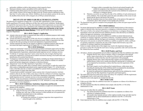and poultry exhibitors to deliver their projects to their respective buyer.

- 27. Meat pens (chickens, ducks, and rabbits) will be sold by the pen.
- 28. Exhibitors shall submit pictures for buyer photos by the specified deadline using the online entry website. Pictures will no longer be taken at the fair. Pictures must be submitted no later than July 16 via the online entry website. Exhibitors who do not submit a picture for the sale by the deadline before the fair will be charged a fee of \$50 per animal/still project.

### 2022 STATE OF OHIO FAIR HEALTH REGULATIONS

The following are regulations (Chapter 901:1-18 of the Ohio Administrative Code) concerning health requirements of livestock exhibited at all Ohio fairs and livestock exhibitions. Health papers are required for most species this year. Pay close attention to which requirements you must meet for your livestock, and be sure to have veterinarian work completed according to the prescribed time period. If you have questions regarding regulations, contact your veterinarian, or the Carroll County Fair Veterinarian, Dr. Jason Marteney. County specific health rules are listed in that respective Department.

#### 901:1-18-01 Chapter's Application

- (A) Animals when moved within or imported into Ohio solely for exhibition purposes shall comply with the requirements of this chapter.
- $(B)$ Animals described in paragraph  $(A)$  of this rule who are in compliance with the rules of this chapter are exempt from the other rules governing movement within or importation into Ohio except for the rules governing movement and importation of quarantined animals.
- (C) Animals imported into Ohio for any purpose in addition to exhibition purposes shall meet all movement and import requirements of Chapter 901:1-17 of the Administrative Code.

#### 901:1-18-02 Definitions

- (A) "Approved veterinarian" means any licensed and accredited veterinarian approved by the Ohio department of agriculture, or an employee of the Ohio department of agriculture or the United States department of agriculture, animal plant health inspection service, veterinary services.
- (B) "Certificate of veterinary inspection" means a form from the state of origin which has been issued and completed by a licensed and accredited veterinarian attesting to the health status and identification of an animal listed thereon.
- "Contagious or infectious disease" means any disease, including any foreign animal disease, or  $(C)$ vector, capable of transmission by any means from a carrier animal to a human or to another animal and includes dangerously contagious or infectious diseases.
- (D) "Department" means the Ohio department of agriculture or its designee.
- (E) "Exhibition" means any public show of animals which is sponsored by or under the control of an Ohio county or independent agricultural society organized under Chapter 1711. of the Revised Code; or the Ohio state fair; or which is assembled for a period which exceeds thirty-six hours or contains animals of origins other than Ohio.
- (F) "Licensed and accredited veterinarian" means a person who is licensed to practice veterinary medicine either by the state of Ohio or the state in which the certificate of veterinary inspection was issued and who is approved by the United States department of agriculture, animal plant health inspection service, veterinary services, to be an accredited veterinarian.
- "Residue" means any poisonous or deleterious pesticide governed by 40 C.F.R. 180(2017), any  $(G)$ poisonous or deleterious substance governed by 21 C.F.R. 109.6(2017), or any other substance governed by 21 C.F.R. 556(2017).

#### 901:1-18-03 Exhibitions: Sanitation, Inspection and Records

- (A) Each entity sponsoring an exhibition shall have in attendance an approved veterinarian for the duration of the exhibition.
- (B) Each entity sponsoring an exhibition shall:
	- 1) Under the direction of the approved veterinarian, thoroughly clean and disinfect each building, pen, stall, ring, or other enclosure in which animals are to be quartered for exhibition immediately prior to the exhibition;
	- 2) Have the approved veterinarian:
		- a) Examine the certificate of veterinary inspection when required for an animal brought to the exhibition;

b) Inspect within a reasonable time of arrival each animal brought to the exhibit for symptoms of any infectious or contagious diseases; and

- c) Inspect each animal daily that is present at the exhibition for symptoms of infectious or contagious disease.
- 3) Maintain a record for one year from the date of the exhibition of each animal present at the exhibition. The record shall contain the name and address of the owner of each animal and the species and breed of the animal.
- Order the immediate removal of any animal which, in the opinion of the approved  $4)$ veterinarian, places other animals at unacceptable risk of disease.
- (C) The department may grant an exemption from paragraph  $(B)(1)$  of this rule upon request and for good reason.

#### 901:1-18-04 Exhibitors

- (A) No person shall present for exhibition or exhibit an animal which he knows or has reason to suspect is infected with or has been exposed to a contagious or infectious disease or residue.
- The owner or bailee of an animal with symptoms of an infectious or contagious disease shall (B) immediately remove the animal from the exhibition premises when directed by an exhibition official, the approved veterinarian, or the department.
- (C) Each person who presents an animal for exhibition or exhibits an animal shall present any certificate of veterinary inspection, registration certificates, vaccination certificate, and other documents to exhibition officials, the approved veterinarian, or the department upon request.
- (D) Each person who presents an animal for exhibition or exhibits an animal for which a certificate of veterinary inspection is required by the rules of this Chapter shall forward a copy of the certificate of veterinary inspection to the department.
- (E) Failure to comply with the rules of this chapter may result in the department taking action pursuant to section 941.10 of the Revised Code or issuing a quarantine order until such time that the violation has been remedied.

#### 901:1-18-05 Poultry and Fowl

- (A) All turkeys, chickens and gamebirds moved within or imported into Ohio for exhibition must either:
	- 1) Originate directly from a flock or hatchery which is a participant in the national poultry improvement plan for the eradication of disease and be accompanied by documentary evidence that they meet the requirement of this paragraph;
	- $2)$ Originate directly from a flock which has had a negative test for pullorum/fowl typhoid disease within twelve months preceding the opening date of exhibition and be accompanied by documentary evidence that they meet the requirement of this paragraph;
	- 3) Have had a negative test for pullorum/fowl typhoid disease, within ninety days, preceding the opening date of the exhibition and be accompanied by documentary evidence that they meet the requirement of this paragraph; or
	- $4)$ Be tested for pullorum/fowl typhoid disease upon arrival at the exhibition by a tester approved by the Ohio department of agriculture and found negative.
- (B) The rapid whole blood test shall not be used to test turkeys for compliance with the requirements of paragraphs  $(A)(2)$ ,  $(A)(3)$  and  $(A)(4)$  of this rule.
- (C) Waterfowl, doves and, pigeons are exempt from this rule.

#### 901:1-18-06 Cattle

- (A) Cattle moved within Ohio for exhibition must show no symptoms or evidence of an infectious or contagious disease.
- (B) All cattle imported into Ohio for exhibition must comply with rule 901:1-17-03 of the Administrative Code.

### 901:1-18-07 Goats

- (A) Goats moved within Ohio for exhibition:
	- 1) The animal presented for exhibition must show no symptoms or evidence of an infectious or contagious disease.
	- $(2)$ All sexually intact animals and any wether eighteen months of age and older must be identified with an official identification as defined in rule 901:1-13-04 of the Administrative Code.
- (B) Goats imported into Ohio for exhibition must comply with rule 901:1-17-06 of the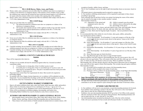#### Administrative Code.

#### 901:1-18-08 Horses, Mules, Asses, and Ponies

- (A) Horses, mules, asses, and ponies moved within Ohio for exhibition must show no symptoms or evidence of an infectious or contagious disease. If the animal is twelve months of age or older, the exhibition may require that the animal has been tested and classed negative to an official test for equine infectious anemia within twelve months of the opening date of the exhibition.
- (B) Horses, mules, asses, and ponies imported into Ohio for exhibition shall comply with rule 901:1-17-07 of the Administrative Code.

### 901:1-18-09 Sheep

#### (A) Sheep moved within Ohio for exhibition:

- 1) The animal presented for exhibition must show no symptoms or evidence of an infectious or contagious disease.
- $(2)$ All sexually intact animals and any wether eighteen months of age and older must be identified with an official identification as defined in rule 901:1-13-04 of the Administrative Code.
- (B) Sheep imported into Ohio for exhibition must comply with rule 901:1-17-08 of the Administrative Code.

### 901:1-18-10 Swine

- (A) Swine moved within Ohio for exhibition must show no symptoms or evidence of an infectious or contagious disease.
- Swine imported into Ohio for exhibition shall comply with rule 901:1-17-09 of the (B) Administrative Code.

#### 901:1-18-11 Camelids

- (A) Camelids including, but not limited to, Ilamas, alpacas and vicuañas moved within Ohio for exhibition purposes must show no symptoms or evidence of an infectious or contagious disease.
- Camelids including, but not limited to, llamas, alpacas and vicuañas imported into Ohio for (B) exhibition must comply with rule 901:1-17-15 of the Administrative Code.

#### **CARROLL COUNTY FAIR HEALTH RULES Rabbits**

These will be inspected at fair check-in.

#### Dogs

- 1) All dogs over six months old must be immunized against rabies by a licensed accredited veterinarian within:
	- 12 months prior to closing date of fair if a killed vaccine is used.
	- 36 months prior to closing date of fair if a non-killed type of vaccine is used. All dogs must be vaccinated for parvo. The parvo vaccination must have been given after August 21 of previous year.
- Does must meet current State Fair requirements for shots. Shot record to be required at  $2)$ knowledge judging.
- No animals with warts, fungus, lesions (ringworm, etc.) or pinkeye will be admitted on to the  $3)$ fairgrounds. You are reminded that all rulings on this and other health regulations are subject to the decisions of the Fair Veterinarian. The Fair Veterinarian's decision is final.

#### **OUTSTANDING MARKET EXHIBITOR**

- Open to all market exhibitors (beef, dairy, dairy beef feeder, lamb, hog, goat, rabbit, and poultry).  $1.$
- $2.$ There will be two divisions: Junior  $(9-14 \text{ yrs.})$  and Senior  $(15-19 \text{ yrs.})$  - age as of  $1/1/22$ .
- $3.$ Top five (5) scoring Jr. and Sr. Skillathon scores will be determined prior to the fair on 7/9/22.
- Points will be accumulated at skillathon judging, showmanship, and market class.  $4.$
- Outstanding Market Exhibitor box must be checked on entry form or entered on-line.  $5.$

#### **JUNIOR FAIR SHOWMANSHIP CLASSES GENERAL RULES**

- Showmanship classes will be held in Dairy, Beef, Dairy Beef, Sheep, Swine, Goats, Rabbits, 1. Poultry, Horses, and Dogs. (Horse & Dog Showmanship rules are listed elsewhere).
- These classes will consist entirely of female animals & animals shown in market classes, with 2.

exception of poultry, rabbits, horses, and dogs.

- $3.$ The Jr. Fair Coordinator reserves the right to split showmanship classes as necessary, based on size.
- All animals shown in showmanship must be entered in a project class. 4.
- Jr. Fair members exhibiting animal projects will be requested to participate in these classes  $5<sub>1</sub>$ according to age groups.
- Each contestant must fit and show his/her own animal, but during the course of the contest, 6. may be asked by the judge to show another member's animal.
- Showmanship is based on: 7.
	- (A.) Appearance of the animal and equipment used to show the animal
- (B.) Ability to properly pose the animal
- (C.) Ability to move as directed by the judge
- (D.) Knowledge of the specie
- 8. Exhibitor dress during all shows, classes, and sales shall be neat, clean, and respectable. Dresses or shirts must have sleeves. No shorts, tube tops, tank tops, halter tops, sheer clothing, sunglasses, or hats. Skirts must be fingertip length. Exception - hats are permitted in horse classes.
- $\mathbf{Q}$ It is recommended that white clothes be worn for dairy, dairy goats, rabbits, and poultry.
- 10. Age classification will be as follows:
	- (A.) Novice Showmanship for all members 11 years and younger as of the day of the contest and who have not previously shown in that species' classes at the Carroll County Junior Fair.
	- (B.) Junior Showmanship for all members 11 years and younger as of the day of the contest and who have previously shown in that species' classes at the Carroll County Junior Fair.
	- $(C_{n})$  Intermediate Showmanship for all members 12-14 years of age as of the day of the contest.
	- (D.) Senior Showmanship for all members 15 years of age and over as of the day of the contest.
	- (E.) Horse Showman ages are listed elsewhere.
	- $(F. )$  Dog Showman ages are the same as Large & Small Animal.
- 11. When an exhibitor wins their respective showmanship age class for a given specie, they will advance to the next age bracket. They will remain in this class until they either age out or win that class, in which case they will advance to the next class. When an exhibitor wins Senior Showmanship, they will then advance directly to the Showman of Showmen class in subsequent years, and will not show again in Senior Showmanship. This excludes dog and equine exhibitors.
- 12. Showmanship Awards:
	- (A.) An award will be awarded to the winner of all showmanship classes.
	- (B.) Rosettes will be awarded to the winner of each class.
	- (C.) Premiums will be as follows for all showmanship classes, except Super Showmanship. Showman of Showmen ... \$25.00 Fourth ................. \$2.00

|                                                                                    | Fifth  \$1.00 |
|------------------------------------------------------------------------------------|---------------|
| $\mathbf{r}$ , and $\mathbf{r}$ are $\mathbf{r}$ and $\mathbf{r}$ and $\mathbf{r}$ |               |

- 13. Super Showmanship will be mandatory for all Showman of Showmen contestants. Failure to participate will result in the loss of club premiums and exhibitor awards.
- 14. All super showman of showmen participants are responsible for securing animals for other contestants to use for their respective specie during the super showman of showmen contest.

### **JUNIOR FAIR PREMIUMS**

- 1. Jr. Fair exhibitors will not receive any premiums, except showmanship premiums for livestock.
- If an exhibitor enters and brings a project to the fair, they will receive a free wrist band to 2. allow them to enter the fair without paying admission.
- Exhibitors who earn showmanship premiums MUST go to the Jr. Fair Office (with a parent)  $3.$ after the conclusion of their show and sign for their premiums. Showmanship premiums will only be paid at the fair, in cash, from the Jr. Fair Office.
- Any showmanship money not picked up during the week of the fair will be forfeited.  $4<sup>1</sup>$
- $5.$ Clubs will receive premiums for barn awards and still project booths. If a member of a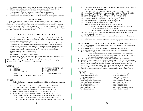club/chapter does not follow Jr. Fair rules, the entire club/chapter premium will be withheld. Exhibitor noncompliance with any Junior Fair rule may result in forfeiture of all club

- premiums and/or any showmanship premiums won by the exhibitor.
- Club advisors will pay \$7/wristband, and Cloverbuds will pay \$2/wristband. 7.
- Boy & Girl Scouts will pay \$5/wristband, and leaders will pay \$7/wristband. 8.
- Should expenses exceed the budget, the Sr. Fair Board reserves the right to prorate premiums. 9.

#### **BARN AWARDS**

All clubs exhibiting livestock at the fair will receive barn money. Judging will be based on the condition of the club's area, aisle, equipment, animals, attitude of the members, and overall impression. All clubs exhibiting less than five  $(5)$  livestock pens/stalls at the fair will be eligible to receive up to a \$3.00 premium per day. Those exhibiting five (5) or more pens/stalls will be eligible to receive up to a \$5.00 premium per day. Clubs receiving full barn awards every day will be eligible for a \$50.00 drawing at the conclusion of the fair.

# **DEPARTMENT 1 - DAIRY CATTLE**

- $\blacksquare$ All Jr. Fair dairy exhibitors will have the opportunity to participate in the Dairy Products Sale. However, to be eligible, you must make an entry in Class H - DAIRY PRODUCTS/DAIRY SKILLATHON. See page 20 for rules.
- All Jr. Fair dairy exhibitors should also make the same entry in the Open Class Division (Sr.  $\blacksquare$ Fair) to be eligible for Open Class premiums. Contact the Sr. Fair Office for further details.
- $\blacksquare$ Milking dairy cows do not have to be stalled by 5 PM on the Monday of fair week; however, they must be on the fairgrounds at least one hour prior to the start of the Dairy Show.
- Dairy cattle with horns may not be shown in Junior Fair classes by Jr. Fair members.  $\blacksquare$
- Dry cows cannot be shown in milking classes.
- Exhibitors may only have one entry in each breed class (in other words, you cannot compete against yourself) except in the champion classes.
- $\blacksquare$ Jr. Fair Exhibitors may do top lines on their own animal(s), but no artificial hair may be used. There are no milking facilities available on the fairgrounds.

When making entries, please denote the Breed and the Class. For example, a Holstein Spring Heifer Calf would be entered as B-1.

#### **BREEDS:**

6.

- A. JERSEY **B. HOLSTEIN**
- E. MILKING SHORTHORN **BROWN SWISS**
- 
- C. RED AND WHITES

G. AYRSHIRE

 $F_{\perp}$ 

- D. GUERNSEY
- H. ANY OTHER BREED **I. DAIRY PRODUCTS/DAIRY SKILLATHON**

#### **CLASSES:**

- 1. Spring Heifer Calf born on or after March 1, 2022 & over 3 months of age on show date
- 2. Winter Heifer Calf – born December 1, 2021 thru February 28, 2022
- 3. Fall Heifer Calf from September 1, 2021 thru November 30, 2021
- 4. Summer Yearling Heifer – born June 1, 2021 thru August 31, 2021
- Spring Yearling Heifer born March 1, 2021 thru May 31, 2021 5.
- Winter Yearling Heifer born December 1, 2020 thru February 28, 2021 6.
- Senior Yearling Heifer born September 1, 2020 thru November 30, 2020  $7.$ 
	- Junior Champion Female First Place winners from Classes 1-7  $\bullet$
	- Supreme Jr. Champion Junior Champions of all breeds are eligible  $\bullet$
- Junior Best Three Females group to consist of three females, under 2 years of 8. age, bred and owned by exhibitor.
- 9. Junior Two Year Old Cow born March 1, 2020 to August 31, 2020
- 10. Senior Two Year Old Cow born September 1, 2019 to February 29, 2020
- 11. Junior Three Year Old Cow March 1, 2019 to August 31, 2019
- 12. Three Year Old Cow September 1, 2018 to February 28, 2019
- 13. Four Year Old Cow September 1, 2017 to August 31, 2018
- 14. Five Year Old Cow September 1, 2016 to August 31, 2017
- 15. Aged Cow born before September 1, 2016
- 16. Dry Cow two years or older and has freshened at least once
	- Senior Champion Female First Place winners from Classes 9-16
	- Champion Female Jr. & Sr. Champions
	- Supreme Grand Champion Champion Females of all breeds are eligible
- 17. Best Three Females three females, any age, all three bred and at least one animal owned by exhibitor
- 18. Dam & Daughter shall consist of two animals, dam & her own daughter at any age
- 19. Produce of Dam shall consist of two animals, any age, the produce of one cow

#### 2022 CARROLL CO. JR. FAIR DAIRY PRODUCTS SALE RULES

- Must exhibit at least one dairy animal at the fair, and display at least one dairy animal for the duration of the fair.
- $2.$ Must make an entry in Class H - DAIRY PRODUCTS/DAIRY SKILLATHON.
- Must participate in dairy skillathon and interview held on July 9, 2022 during Outstanding  $3.$ Market Exhibitor Judging.
	- The skillathon will consist of feed and forage stations along with an interview  $\bullet$ consisting of knowledge of your project and general dairy information, including information from the Dairy Resource Handbook.
- 4. The Dairy Products sale will be held Friday, July 22 during the Large Animal Sale.
- 5. Participation in the Dairy Products sale will be considered one of your Large Animal Sale products.
- Based on the number of participants, the Carroll Co. Dairy Promotion Board will determine if 6. baskets are sold per exhibitor or divided among all exhibitors based on shares. If sold on shares, each share in the proceeds will be determined by projects exhibited, showmanship placing, skillathon score & placing, Jr. & Sr. Championships, and/or class placings earned.
- $7.$ All dairy exhibitors are strongly encouraged to contact potential buyers to attend the sale!

#### **AWARDS:**

Dairy Showman Of Showmen **Grand Champion Brown Swiss** Grand Champion Holstein Grand Champion Jersey **Grand Champion Milking Shorthorn** Intermediate Dairy Showmanship Junior Champion Brown Swiss Junior Champion Holstein Junior Champion Ayrshire Junior Champion Jersey

Junior Champion Milking Shorthorn Junior Dairy Showmanship Novice Dairy Showmanship Overall Dairy Champion Senior Champion Brown Swiss Senior Champion Holstein Senior Champion Ayrshire Senior Champion Jersey Senior Champion Milking Shorthorn Senior Dairy Showmanship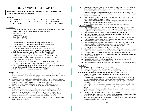# **DEPARTMENT 2 - BEEF CATTLE**

### When making entries, please denote the Breed and the Class. For example, an Angus Junior Heifer Calf would be B-8.

#### **BREEDS:**

| HEREFORD      | C. MAINE-ANIOU | E SHORTHORN       |
|---------------|----------------|-------------------|
| R ANGUS       | D LIMOUSIN     | F SIMMENTAL       |
| G MURREY GREY |                | H ANY OTHER BREED |

#### **CLASSES:**

- 1. Outstanding Market Exhibitor (check box on paper entry form or on-line entry form – must also enter a market steer or dairy beef feeder)
- 2. Market Beef Steer\*
- 3. Carcass Steer
- Dairy Beef Feeder  $\circledcirc$ 4.
- 5. Market Dairy Steer\*\*
- 6. Feeder Calf<sup>+</sup>
- 7. Champion Born & Raised Carroll County Market Beef Steer
- Champion Born & Raised Carroll County Dairy Beef Feeder 8.
- Junior Heifer Calves born on or after January 1, 2022 9.
- 10. Senior Heifer Calves born September 1 to December 31, 2021
- 11. Late Summer Yearling Heifers born July 1 to August 31, 2021
- 12. Early Summer Yearling Heifers born May 1 to June 30, 2021
- 13. Late Junior Yearling Heifers born March 1 to April 30, 2021
- 14. Early Junior Yearling Heifers born January 1 to February 28, 2021
- 15. Senior Yearling Heifers born September 1 to December 31, 2020
- 16. Aged Cow Class two years old  $\&$  older
- 17. Cow & Calf calf born after January 1, 2022; calf can be heifer or bull. (Calf can also be shown in Junior Heifer Calf class or Jr. Bull Calf class.)
- 18. Pair of Beef Females entry shall consist of animals of the same breed, shown by one Exhibitor (4-H & FFA projects can be combined).
- 19. Junior Bull Calves born on or after January 1, 2022

#### \*Market Beef Steer:

- Sale steers All breeds shown by weight. All steers must be dehorned and properly 1. castrated prior to November tag-in. If not properly castrated prior to tag-in, they will not be tagged in.
- Minimum weight for sale is 900 pounds. Exhibitors will be permitted to show 2 market 2. steers, with one steer being eligible to sell in the sale, except if an exhibitor shows both the Grand and Reserve Champion and does not sell any other Large Animal.
- $3.$ Rate of gain will be calculated for steers, provided they weigh-in at steer tag-in.
- All Jr. Fair beef livestock & dairy beef feeders are required to have neck ropes.

#### *ODairy Beef Feeders:*

- Project animals must be male calves and must be born between December 1, 2021 and  $1.$ February 15, 2022 – calves must be properly dehorned and castrated prior to tag-in.
- Dairy beef feeders must be 100% dairy breeding (Holstein, Jersey, Guernsey, Brown 2. Swiss, Ayrshire, Milking Shorthorn, or other accepted dairy breed). Dairy beef feeders may be crosses of the above breeds, but may not be crossed with beef breeds.
- Exhibitors may weigh-in and show two calves at the fair, but may only sell one calf in the  $3.$ Large Animal Sale at the fair.
- Calves must weigh between 400 and 750 pounds at the fair weigh-in to be considered for 4. Grand and Reserve Champion and to sell in the fair sale. Calves not meeting weight guidelines may show in their fair classes.
- 5. Calves will be shown in a dairy feeder show on the day of the steer show. Dairy beef feeder calves should be fitted and shown in the same manner as a beef animal. The use of a show stick is recommended
- Initial booster vaccinations for BVD I & II, IBR, P13, and Pasteurella are required and 6. must be documented on the health certificate.
- Exhibitors with dairy beef feeders will need to show proof of vaccination at the time of 7. tag-in or pay \$5/head to have the calf vaccinated.
- 8. All Jr. Fair beef livestock & dairy beef feeders are required to have neck ropes.

#### \*\*Market Dairy Steer:

- Market dairy steers must be 100% dairy breeding (Holstein, Jersey, Guernsey, Brown  $1.$ Swiss, Ayrshire, Milking Shorthorn, or other accepted dairy breed). Dairy market steers may be crosses of the above breeds, but may not be crossed with beef breeds.
- $2.$ Market dairy steers must be dehorned and properly castrated prior to tag-in.
- Previously tagged dairy beef feeders must come back at market steer tag-in to be  $3.$ identified to the respective exhibitor.
- The market dairy steer class will award a grand and reserve champion. A minimum of 4. five (5) steer entries must be shown for a grand and reserve champion to be selected.
- Market dairy steers will be shown by weight.  $5.$
- Market dairy steers must weight a minimum of 1,050 pounds and maximum of 1,650 6. pounds to be eligible for the Large Animal Sale. Steers not meeting the weight requirements will be eligible for show in fair classes but not for sale.
- $7.$ Exhibitor may tag-in and show two (2) market dairy steers.
- Market dairy steers will be shown following the dairy beef feeders. Market dairy steers shall 8. be fitted in the same manner as a beef animal. The use of a show stick is recommended.
- 9. Rate of gain will be calculated for dairy steers, provided they weigh-in at tag-in.
- 10. Initial booster vaccinations for BVD I & II, IBR, P13, and Pasteurella are recommended before November tag-in.
- 11. Market dairy steers are required to have neck ropes.
- 12. Market dairy steer projects will compete with dairy beef feeders for purposes of showmanship and Outstanding Market Exhibitor.
- 13. Market dairy steer projects must be born on or after December 1<sup>st</sup> of the year proceeding tag-in.

#### **‡Feeder Calf:**

- 14. Dropped between January 1, 2022 and June 1, 2022.
- 15. Must be enrolled in the feeder calf project (steers and heifers).
- 16. This calf can only be shown in one class, with the exception of the cow-calf class.

#### Champion Born & Raised Carroll Co. Market Beef Steer & Dairy Beef Feeder:

- Must be born in Carroll Co. and raised by a 4-H/FFA member in Carroll County.  $1.$
- No embrvo transfer.  $2.$
- The signed statement testifying that the animal is born and raised will serve as entry into  $3.$ the born and raised class, and is due at the time of tag-in. Exhibitors are, however, highly encouraged to make the entry for born and raised for the applicable species at the time of making their Jr. Fair entries.
- 4. There will be no special born and raised weight classes. Born and raised animals will be shown in their respective market weight classes, and placings will be taken from those classes.
- The born and raised championship drive will take place immediately preceding the market 5. championship drive for that species.
- Entries will follow the market weight requirements for that species. 6.
- County born & raised animals are not permitted to sell in the Large or Small Animal Sales, 7. unless the animal is also shown in its respective market weight class.
- 8. Grand and reserve champion born & raised animals are not automatically qualified for the market championship drive of that species.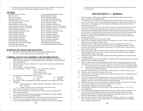9. Grand and reserve champion born  $\&$  raised animals will sell as champions in the sale, and will sell immediately following the champion carcasses of that species.

#### AWARDS:

Beef Showman of Showmen **Best Cow-Calf Best Pair Of Females** Champion Feeder Calf Dairy Beef Showman Of Showmen **Grand Champion Angus** Grand Champion Carcass Steer Grand Champion Carroll Co. Mkt. Steer Grand Champion Carroll Co. Dairy Beef Grand Champion Crossbred Grand Champion Dairy Beef Feeder Grand Champion Hereford Grand Champion Limousin Grand Champion Market Steer **Grand Champion Shorthorn Grand Champion Simmental** Intermediate Beef Showmanship Intermediate Dairy Beef Showmanship Junior Beef Showmanship Junior Dairy Beef Showmanship

Jr. Outstanding Market Beef Exhibitor Market Steer Rate Of Gain Novice Beef Showmanship Novice Dairy Beef Showmanship Overall Supreme Champion Female Reserve Champion Angus Reserve Champion Carcass Steer Reserve Champion Carroll Co. Mkt. Steer Reserve Champion Carroll Co. Dairy Beef Reserve Champion Crossbred Reserve Champion Dairy Beef Feeder Reserve Champion Hereford Reserve Champion Limousin Reserve Champion Market Steer Reserve Champion Shorthorn Reserve Champion Simmental Senior Beef Showmanship Senior Dairy Beef Showmanship Sr. Outstanding Market Beef Exhibitor

Yield grade 4

#### **SCHEDULE OF STEER CARCASS EVENTS**

- July TBA Carcass steer drop off Don's Custom Meats (bring \$2/head)
- July 14 Carcass Evaluations at Don's Custom Meats 6 pm

#### **CARROLL COUNTY JR. FAIR BEEF CARCASS SHOW RULES**

- While the data is a tool to aid the ranking of carcasses, the judge reserves the right to 1. make official placing based on current industry practices and markets. All decisions made by the judge are final.
- 2. Carcasses will be evaluated to determine: 1) Carcass Value derived from USDA Quality and Yield Grades
- 3. First Tie Breaker USDA Yield Grade

 $1)$  Prime

- Second Tie Breaker: % BTRC =  $51.34 (5.78 \text{ x} \text{ Adjusted Fat Thickness})$ 
	- $(0.46 \times \%$  KPH Fat)
	- $+(0.74 \times$  Rib eye Area)
	- $-$  (0.0038 x Hot Carcass Weight)
- 5. Current grading (ranked highest to lowest value\*):
	- $3)$  Low choice  $5)$
	- 2) Top choice 4) Select 6) Standard
- 6. To determine USDA yield grade the following adjustments will be added to the USDA vield grade:
	- USDA Yield Grade = USDA Preliminary Yield grade + HCW Adj. + BF  $\bullet$ Adj. + REA adj.
	- $\bullet$ \* Subject to change based on cattle market at the time of show
- There will be no minimum or maximum live weight. 7.
- There will be no minimum or maximum carcass weight. The carcass weight will be 8. factored into the equation.
- 9. Any carcass defects are subject to being penalized including but not limited to (Dark Cutter, Bruised, Hard Bone, and Blood Splash).
- All exhibitors must pay \$2.00/head for every animal delivered to the carcass contest to 10. help cover the cost of a judge. Payment will be collected at carcass drop-off.
- 11. A correctly completed Drug Use Notification Form (DUNF) will need to be submitted

23

electronically for each animal entered in the carcass show prior to drop-off. See page 50 for instructions.

# **DEPARTMENT 3 - HORSES**

- 1. All Jr. Fair equine exhibitors must complete and return the Horse Packet to the Extension Office by April 15 to be eligible to show.
- $2.$ Jr. Fair Horses will not be allowed on the fairgrounds until Wednesday morning of the fair at 7 am. All Jr. Fair horses must be on the fairgrounds and stalled by 1 pm that day. Exhibitors will present their vet check papers to the fair veterinarian Wednesday afternoon when the fair vet calculates the horse's BCS.
- $3.$ Jr. Fair Horse Exhibitors must enter their horse(s) by the second Saturday in June (not classes). Afterwards, they may enter their horse(s), but are subject to the late entry fee of \$25. Late entries cannot be made after the first Saturday in July. Exhibitors may register for their classes at the fair in the Jr. Fair Board Office, no later than 12 PM (noon) Friday for Contesting classes and 9 pm the evening before the applicable Thursday  $&$  Friday show. After this time, no additions or changes will be made. Classes may still be entered online, until the online entry system is taken offline.
- An exhibitor cannot exhibit more than three equine. 4.
- $5<sub>1</sub>$ There will be no minimum number of contestants needed to run a class, with the exception of a minimum of two (2) in the Versatility Class.
- 6. Horses may only be exhibited in showmanship classes that are appropriate for their size.
- No project equine is to be ridden/driven/shown by anyone other than the exhibitor, with the 7. exception of immediate family members under the age of 18, within 30 days prior to the start of the Carroll County Fair.
- 8. Horses may only be ridden by a family member or fellow Jr. Fair member at the conclusion of the final judged class of the week; however, they must wear the appropriate safety headgear, clothing, and have proper supervision.
- $\mathbf{Q}$ All animals must conform to the Body Condition Score (BCS) guidelines in the Uniform Rules of 4-H Horse Shows.
- 10. A Health Certificate must be accompanied by a statement of BCS, and must document vaccination against Influenza and Rhinopneumonitis.
- 11. If a horse is injured, dies, or deemed to be dangerous after April 15, the member may get a new horse (although it may not be shown at PAS shows or receive points) provided the following are met:
	- Documented proof of animal injury signed by a vet must be on file in the Extension Office. I.
	- II. Animals deemed dangerous must be evaluated by the advisor and the 4-H Educator with a report made to the Horse Committee.
- 12. The Ohio Uniform Rules for 4-H Horse Shows will be followed in all classes of horse shows.
- 13. Yearlings may be trailered at the option of the owner.
- 14. Exercising will be done only under supervision, preferably from an advisor. All animals must be lead to and from the ring area.
- 15. Jr. Fair horse shows are rain or shine. However, in the event of potentially unsafe weather conditions, it will be the responsibility of the Sr. Fair Board to decide when a show must be postponed, and when a show may start again after being postponed.
- 16. Exhibitors may not cross enter divisions/classes, with the exception of Trail and Trail In Hand.
- 17. Novice horse exhibitors are only allowed to exhibit in novice classes.
- 18. Showmanship is mandatory for all equine exhibitors.
- 19. The Showman of Showmen class will be open to those exhibitors placing 1<sup>st</sup> or 2<sup>nd</sup> in any showmanship class.
- 20. To be eligible for participation in the Horseman of Horsemen class, exhibitors must place  $1<sup>st</sup>$  or 2<sup>nd</sup> in one or more of the following classes: Western Pleasure, Ranch Pleasure, Western Horsemanship, Western Road Hack, English Equitation, English Road Hack, Easy Gaited Pleasure, English Pleasure, and Easy Gaited Equitation.
- 21. The Contester of Contesters will be determined by the exhibitor with the lowest combined times in the point classes. For 2022, point classes are: Cloverleaf Barrel Race, Pole Bending, Figure 8 Stakes, & Keyhole Race.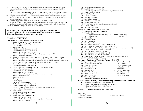- 22. To compete for Best Groomed, exhibitors must register for the Best Groomed class. The class is open to all exhibitors, including novice exhibitors, and exhibitors may participate as English or Western.
- 23. The Jr. Fair Horse Committee shall determine if an exhibitor needs three or more years of showing as a novice exhibitor before being eligible to advance to the next level of competition.
- 24. A high points contest will be held. Exhibitors must pick which horse and the four classes they are entering and notify the Jr. Fair Office by 3PM on Wednesday of the fair. Each exhibitor may only enter one horse in this contest.
- 25. Showmanship placing shall be the tie breaker for the High Points Award.
- 26. No fans are allowed in horse stalls without prior approval from the Jr. Fair Coordinator. Electrical appliances, refrigerators (including mini-fridges), or any other are not allowed in the horse barn.

NOTE: Please refer to horse project packet for all current rules.

When making entries, please denote the Horse Name and if the horse will be trailered (Production only) or stalled at the fair. When registering for classes, classes must be assigned to each specific horse name.

### **CLASSES & SCHEDULE:**

#### Thursday – English & Western Day – 9:00 AM

- 1. Weanling, Yearling, 2 & 3 Year Old Production
- 2. Showmanship - Basic Training Production
- Basic Training  $3.$
- 4. Mini Halter Class
- Mini Showmanship (English or Western) 5.
- Western Showmanship  $-14-19$  year olds 6.
- Western Showmanship  $-8-13$  year olds  $7.$
- Novice A Western Showmanship (1st year riding project members only) 8.
- Novice B Western Showmanship  $9<sub>1</sub>$
- Ranch Pleasure (cannot be the same horse used for Western Pleasure) 14-19 year olds  $10.$
- Ranch Pleasure (cannot be the same horse used for Western Pleasure)  $8-13$  year olds  $11.$
- 12. Novice A Ranch Pleasure (cannot be the same horse used for Western Pleasure) (1st vr. only)
- 13. Novice B Ranch Pleasure (cannot be the same horse used for Western Pleasure)
- Western Horsemanship  $-14-19$  year olds  $14.$
- 15. Western Horsemanship  $-8-13$  year olds
- 16. Novice A Western Horsemanship (1st year riding project members only)
- Novice B Western Horsemanship 17.
- Western Pleasure 14-19 year olds 18.
- Western Pleasure 8-13 year olds 19.
- Novice A Western Pleasure (1st year riding project members only) 20.
- 21. Novice B Western Pleasure
- 22. Western Road Hack
- Reining 23.
- 24. Ground Roping
	- Lunch/Tack Break 1 Hour
- English Showmanship 14-19 year olds 25.
- English Showmanship  $-8-13$  year olds 26.
- 27. Novice A English Showmanship (1st year riding project members only)
- 28. Novice B English Showmanship
- 29. Best Groomed **Showman of Showmen Presentation Best Groomed Horse Presentation**
- English Equitation  $-14-19$  year olds 30.
- English Equitation  $-8-13$  year olds 31.
- 32. Novice A English Equitation (1st year riding project members only)
- 33. Novice B English Equitation
- 34. English Pleasure 14-19 year olds
- English Pleasure  $-8-13$  year olds  $35.$
- 36. Novice A English Pleasure (1st year riding project members only)
- Novice B English Pleasure 37.
- English Road Hack 38.
- 39. Novice Easy Gaited
- $40.$ Easy Gaited Equitation
- **Easy Gaited Pleasure** 41.
- Jumping  $-14-19$  year olds 42.
- Jumping  $-8-13$  year olds  $43$
- 44. Novice A Jumping (1st year riding project members only)
- 45. Novice B Jumping
- 46. Mini Jumping In Hand

### Friday - Performance Day - 11:30 AM

- **Horseman of Horseman Presentation**
- 47. Versatility Class:
	- A. English or Western Showmanship **B.** English Pleasure
- D. Cloverleaf Barrels

C. Western Horsemanship

71. Down and Back 14-19

73. Novice Down and Back

74. Keyhole Race 14-19

76. Novice Keyhole Race

77. Ball & Bucket 14-19

79. Novice Ball & Bucket

78. Ball & Bucket 8-13

75. Keyhole Race 8-13

Down and Back 8-13

 $72$ 

- 48. Mini Driving
- 49. Horse/Pony Driving
- 50. Mini Reinsmanship
- 51. Horse/Pony Reinsmanship
- 52. Trail In Hand (English or Western) 14-19 year olds
- 53. Trail In Hand (English or Western)  $-8-13$  year olds
- 54. Novice A Trail In Hand (English or Western, 1st year riding project members only)
- 55. Novice B Trail In Hand (English or Western)
- 56. Mini Trail In Hand (English or Western)
- 57. Trail (English or Western) 14-19 year olds
- 58. Trail (English or Western) 8-13 year olds
- Novice A Trail (English or Western, 1st year riding project members only) 59.
- 60. Novice B Trail (English or Western)

#### Saturday – Contester of Contester Events – 9:00 AM

- 61. Egg and Spoon W/T all ages
- 62. Cloverleaf Barrel Race 14-19
- 63. Cloverleaf Barrel Race 8-13
- 64. Novice Barrels
- Pole Bending 14-19 65.
- 66. Pole Bending 8-13
- 67. Novice Pole Bending
- 68. Figure 8 Stakes 14-19
- 69. Figure 8 Stakes 8-13
- 70.

**Presentation of Contester of Contester** 

### Sunday - Horse Dress Up Contest followed by Mounted Games - 10:00 AM

- Limited to Carroll County Jr. Fair horse exhibitors.
- Horse or Pony must be a bona-fide 4-H or FFA project.
- Uniform rules for 4-H shows will be followed.
- Not responsible for loss or accident.

#### Sunday – Jr. Fair Horse Dismissal – 4:00 PM

#### **AWARDS:**

 $\bullet$ 

Showman of Showmen Horseman of Horsemen Contester of Contester

26

- Novice Figure 8 Stakes
- 
-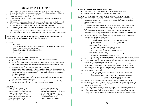# **DEPARTMENT 4 - SWINE**

- 1. Slick clipping or body shaving of hair on market hogs, except ears and tails, is prohibited. Hogs must have hair that is no less than one half inch  $(1/2)$  in length on the body of the hog.
- $2^{1}$ Classes will be divided according to weight after fair weigh-in.
- Must be farrowed after January 1, 2022.  $3.$
- 4. To be eligible for Grand and Reserve Champion and to sell, all market hogs must weigh between  $220-300$  lbs.
- 5. Exhibitors will be permitted to show two (2) market hogs with one hog being eligible to sell in the sale. The two (2) market hogs includes both county born and raised and regular market hogs. Exhibitor must have arrangements for the second hog to go to slaughter.
- Weight classes will be divided in to five (5) divisions. Grand and Reserve Champions will be 6. selected from division winners.
- 7. Exhibitors are permitted to enter one breeding gilt, farrowed after January 1, 2022.
- Breeding gilts will be judged by video recording before the fair, & will not come to the fairgrounds. 8.

#### When making entries, please denote the Class – the breed is optional and may be written in if desired. For example, a Market Hog would be 1.

#### **CLASSES:**

- 1. Market Hog
- 2. Outstanding Market Exhibitor (check box on paper entry form or on-line entry  $form$  – must also enter a Market Hog)
- 3. Carroll County Born & Raised Market Hog.
- 4. Carcass Hog
- **Breeding Gilt** 5.

#### **↑ Champion Born & Raised Carroll Co. Market Hog:**

- Must be born in Carroll Co. and raised by a 4-H/FFA member in Carroll County. 1.
- $2.$ No embryo transfer.
- The signed statement testifying that the animal is born and raised will NOT serve as entry  $3.$ into the hog born and raised class. Instead, exhibitors must make entries for county born and raised market hogs.
- 4. There will be a special born and raised market hog weight class.
- Born and raised championship drive will take place immediately after the born and raised 5. market class, and prior to the start of the regular market hog weight classes. The grand and reserve champion born and raised market hogs will automatically qualify for the market hog championship drive.
- Entries will follow the market weight requirements for that species. 6.
- County born & raised market hogs are permitted to sell in the Large Animal Sale, and will 7. sell with similarly placed market hogs.
- 8. Grand and reserve champion born  $\&$  raised animals will sell as champions in the sale, and will sell immediately following the champion carcasses of that species.

#### **AWARDS:**

Grand Champion Breeding Gilt Grand Champion Carcass Hog Grand Champion Carroll Co. Mkt. Hog Grand Champion Market Hog Intermediate Swine Showmanship Jr. Outstanding Market Hog Exhibitor Junior Swine Showmanship Novice Swine Showmanship

Reserve Champion Breeding Gilt Reserve Champion Carcass Hog Reserve Champion Carroll Co. Mkt. Hog Reserve Champion Market Hog Sr. Outstanding Market Hog Exhibitor Senior Swine Showmanship Swine Showman Of Showmen

#### **SCHEDULE OF CARCASS HOG EVENTS**

- July TBA Carcass hog drop off Don's Custom Meats (bring \$2/head)
- $\bullet$  July 14 Carcass Evaluations at Don's Custom Meats 6 PM

#### **CARROLL COUNTY JR. FAIR PORK CARCASS SHOW RULES**

- While the data is a tool to aid the ranking of carcasses, the judge reserves the right to make official placing based on current industry practices and markets. All decisions made by the judge are final.
- $2.$ There will be no minimum or maximum live weight.
- All carcasses must weigh between  $160-215$  lbs. to be eligible to compete in the contest.  $\overline{3}$ .
- 4. If the heads are not removed during slaughter, a base weight will be determined by the judge and subtracted from all hot carcass weights.
- 5. Pork carcasses will be assessed on their lean quality and placed into categories (acceptable, marginal, and PSE/unacceptable), and then ranked on % fat-free lean within their respective lean quality category.
- 6. To meet the minimum quality threshold for acceptable, carcasses must score at least a two  $(2)$  in each of the following categories:

Visual Color (Scale of 1 to  $6$ )

- $1 -$ Pale, pinkish gray to white  $2 -$ Gravish pink
- 4 Dark reddish pink
- $5 -$ Purplish red
- $6 -$ Dark purplish red
- Visual Wetness (Scale of 1 to 3)

 $3 - Reddish$  pink

- $1 -$  Exudative with excessive fluid on loin surface
- $2 -$  Cut loin surface appears moist, with little or no free water on surface
- 3 Cut loin surface exhibits no evidence of free water
- Visual Firmness (scale of 1 to 3)
	- $1 Soft$ : cut loin surface distorts easily and is visibly soft
	- $2 -$  Firm: cut loin surface tends to hold its shape
- $3 \text{Very firm:}$  cut loin surface tends to be very smooth with no distortion of shape
- 7. If a carcass has a one (1) in one or two of the categories, it will be classified as marginal.
- If a carcass has a one  $(1)$  in all three categories, it will be classified as PSE/unacceptable,  $8<sub>1</sub>$ and will not be eligible for champion or reserve.
- 9. Carcasses that meet the quality threshold acceptable will be ranked in order of % fat-free lean followed by carcasses that do not meet the quality threshold and are considered marginal, ranked in order of % fat-free lean. Any carcasses classified as pale, soft, and exudative (PSE/unacceptable) will be ranked accordingly.
- 10. Determining % Fat Free Lean:

% Fat-Free Lean = (lbs. of Fat-Free Lean / Hot Carcass Weight) x 100

- 11. Determining lbs. of Fat Free Lean: lbs. of Fat Free Lean =  $8.588 - 21.896$  x 10th Rib Back Fat Depth (BF)  $+3.005$  x 10th Rib Loin Muscle Area (LMA)
	-

### $+0.465$  x Hot Carcass Weight

- 12. The carcasses disqualified for weight reasons will be listed at the end of the results.
- 13. All carcasses must have a minimum of 0.5 inches of back fat to be eligible for champion or reserve. All carcasses not meeting the back fat requirement will be placed at the end of their respective quality group.
- 14. All exhibitors must pay \$2.00/head for every animal delivered to the carcass contest to help cover the cost of a judge. Payment will be collected at carcass drop-off.
- 15. A correctly completed Drug Use Notification Form (DUNF) will need to be submitted electronically for each animal entered in the carcass show prior to drop-off. See page 50 for instructions.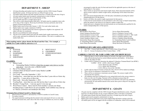# **DEPARTMENT 5 - SHEEP**

- 1. All sheep (breeding and market) must be compliant with the USDA Scrapie Program identification system. All sheep must have an official Scrapie ear tag.
- All market lambs (female and male animals) must have a Scrapie tag at the time of tag-in. 2.
- All male market lambs must be properly castrated prior to time of tag-in.  $3.$
- All lambs must be tagged by the second Saturday in May.  $4<sup>1</sup>$
- 5. All ewe lambs must have a scrapie tag by tag-in.
- This will be a slick sheared market lamb show. All lambs must be completely shorn with-6. in five days of fair weigh-in. Wool may be left below the knee and hocks only for the purpose of breed characteristics.
- Market lambs must be born after January 1, 2022. Ewe and wether lambs only. 7.
- 8. Market lambs must weigh a minimum of 100 lbs.
- All animals in a specific breed class must be registered or eligible to be registered. All 9. others will show as crossbreeds.
- 10. Muzzles are prohibited for lambs and goats.
- 11. The pen of two market lambs must meet the market lamb weight requirements, cannot sell as a pair, and must be exhibited by the same exhibitor. This class is in addition to the market lamb class.

#### When making entries, please denote the Breed and the Class. For example, a Suffolk Ewe Lamb would be entered as A-5.

#### **BREEDS:**

- A. SUFFOLK
- B. CHEVIOT
- C. HAMPSHIRE
- D. DORSET
- E. SHROPSHIRE
- 
- **CLASSES:** 
	- $1 -$ Market Lamb
		- Outstanding Market Exhibitor (check box on paper entry form or on-line entry form – must also enter a Market Lamb)

F. MONTADALE

G. CROSSBRED

**BREED** 

H. OTHER REGISTERED

- 2. Pen of Two Market Lambs
- Champion Born & Raised Carroll County Market Lamb  $3.$
- $4.$ Carcass Lamb
- 5. Ewe Lamb born after September 1, 2021
- 6. Yearling Ewe more than one year old, but less than 2 years old as of show day
- 7. Aged Ewe  $-2$  years old as of show day
- 8. Ram Lamb born after September 1, 2021
- 9. Yearling Ram more than one year old, but less than 2 years old as of show day
- 10. Breeder's Young Flock 1 ram any age  $& 2$  ewes any age
- 11. Wool Fleece Contest fleece must be from member's current year sheep breeding project. Lamb fleeces are not acceptable. Each exhibitor may enter up to 5 fleeces. (A breed is not needed for this class)

#### **\*Champion Born & Raised Carroll Co. Market Lamb:**

- Must be born in Carroll Co. and raised by a 4-H/FFA member in Carroll County.  $1 \quad$
- $2.$ No embryo transfer.
- The signed statement testifying that the animal is born and raised will serve as entry into  $3.$ the born and raised class, and is due at the time of tag-in. Exhibitors are, however, highly

encouraged to make the entry for born and raised for the applicable species at the time of making their Jr. Fair entries.

- $4.$ There will be no special born and raised weight classes. Born and raised animals will be shown in their respective market weight classes, and placings will be taken from those classes.
- Born and raised championship drive will take place immediately preceding the market  $5.$ championship drive for that species.
- Entries will follow the market weight requirements for that species. 6.
- County born & raised animals are not permitted to sell in the Large or Small Animal Sales, unless the animal is also shown in its respective market weight class.
- 8. Grand and reserve champion born & raised animals are not automatically qualified for the market championship drive of that species.

#### **AWARDS:**

Best Of Show Wool Fleece Grand Champion Breeding Sheep Grand Champion Carcass Lamb Grand Champion Carroll Co. Mkt. Lamb Grand Champion Market Lamb Intermediate Sheep Showmanship Jr. Outstanding Market Lamb Exhibitor Junior Sheep Showmanship

Novice Sheep Showmanship Reserve Champion Carcass Lamb Reserve Champion Carroll Co. Mkt. Lamb Reserve Champion Market Lamb Reserve Champion Sheep Breeding Sr. Outstanding Market Lamb Exhibitor Senior Sheep Showmanship Sheep Showman Of Showmen

#### **SCHEDULE OF CARCASS LAMB EVENTS**

- July TBA Carcass lamb drop off Don's Custom Meats (bring \$2/head)
- $\bullet$ July 14 – Carcass Evaluations at Don's Custom Meats –  $6$  PM

#### **CARROLL COUNTY JR. FAIR LAMB CARCASS SHOW RULES**

- While the data is a tool to aid the ranking of carcasses, the judge reserves the right to  $1$ make official placing based on current industry practices and markets. All decisions made by the judge are final.
- 2. Lambs will be evaluated to determine the adjusted % Boneless Trimmed Retail Cuts (BTRC). % BTRC =  $49.94 - (0.085 \text{ x Hot Carcass Weight})$ 
	- $-(4.38 \times Back \text{ Fat at the } 12 \text{th Rib})$
	- $-(3.53 \times$  Body Wall Thickness)
	- $+(2.46 \times$  Rib eye Area at the 12th Rib)
- $3.$ Lambs with less than 0.10 inches of back fat at the 12th rib will be ranked accordingly.
- There will be no minimum or maximum live weight. 4.
- There will be no minimum or maximum carcass weight. The carcass weight will be  $5<sub>1</sub>$ factored into the equation
- 6. All exhibitors must pay \$2.00/head for every animal delivered to the carcass contest to help cover the cost of a judge. Payment will be collected at carcass drop-off.
- A correctly completed Drug Use Notification Form (DUNF) will need to be submitted 7. electronically for each animal entered in the carcass show prior to drop-off. See page 50 for instructions.

# **DEPARTMENT 6 - GOATS**

- $1.$ All goats must be compliant with the USDA Scrapie Program identification system. All goats must have an official Scrapie ear tag, except LaManchas where a tail tattoo is permitted.
- All market goats (female and male animals) must have a Scrapie tag at the time of tag-in. 2.
- Market goats must be properly castrated prior to tag-in.  $\mathbf{3}$ .
- Market goats must be dehorned or have horns tipped (filed off) before coming to the fair.  $4.$
- All market goats will be ear tagged with the exception of LaManchas, which will be tattooed.  $5.$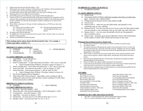- Market goats must be born after December 1, 2021. 6.
- Market goats must weigh a minimum of 60 pounds to sell. Exhibitors will be permitted to show 7. two market goats with one goat being eligible to sell in the sale.
- 8. All market goats must be slick shorn within (5) five days prior to Monday of fair.
- Breeding goats are to be clipped to breed standards.  $9<sub>1</sub>$
- 10. All breeding goats must be dehorned, except Angora & Boer breeding does.
- 11. If there are not (5) five goats entered for the carcass goat competition, the competition will be canceled. Those goats that were entered will be allowed to compete in the market goat class at the fair. Exhibitors will still only be permitted to exhibit a maximum of two entries in the market goat class.
- 12. There will be a maximum of 14 hours of milk in milking does as of 9:00 am on show day.
- 13. Harness Goats: (A.) Entries may be wethers or does.
- (D.) The same tattooed goat must be
- (B.) All entries must be tattooed. (C.) Goat ages are as of show day.
- used throughout the three year
- project.
- 14. All pygmy goats must be dehorned.
- 15. No supplies are to be kept in goat pens that have goats in them. All tack, chairs, etc. may only be kept in empty goat pens.
- 16. Muzzles are prohibited for lambs and goats.

### When making entries, please denote the Breed and the Class. For example, a Nubian aged milker would be A-1.

### **BREEDS (CLASSES 1-8 ONLY):**

| A. NUBIANS   | D ALPINE           | G. OTHER BREEDS |
|--------------|--------------------|-----------------|
| B. SAANEN    | E LaMANCHA         |                 |
| C TOGGENRURG | <b>F CROSSBRED</b> |                 |

### **CLASSES (BREEDS A-G ONLY):**

- 1. Aged Milker  $-4$  years old and over
- 2. Milking Does  $-2-4$  years old
- 3. Senior Yearling Does in milk, born before November 1, 2021, up to 2 years old • Senior Champion Best Of Breed – First place winners in classes 1-3
- 4. Junior Yearling Does not in milk, born before Nov. 1, 2021, up to 2 years old
- 5. Senior Doe Kids born between November 1, 2021 & January 31, 2022
- 6. Junior Doe Kids born between February 1, 2022 & April 30, 2022
	- Junior Champion Best Of Breed First place winners in classes 4-6
- Doe & Her Daughter (Dam & Daughter) 7.
- 8. Dairy Herd (total of three animals) – aged milker, senior yearling in milk or milking doe, junior doe kid, senior doe kid, or junior yearling not in milk. Must be bred and raised by exhibitor.

### **BREEDS (CLASSES 9-13 ONLY):**

# H. ANGORA

I. MEAT BREEDS

- **CLASSES (BREEDS H-I ONLY):** 9. Doe Kids – born after January 1, 2022
	- 10. Senior Doe Kid born between September 1, 2021 & December 31, 2021
	- 11. Yearling Does born after January 1, 2021
	- 12. Aged Does born prior to January 1, 2021
	- 13. Female Pair one from class 9 or 10 AND one from class 11 or 12
	- 14. Breeder's Herd one from each class 9 or 10, 11, & 12

# **NO BREED (CLASSES 14-18 ONLY):**

J. NO BREED NEEDED

# **CLASSES (BREED J ONLY):**

- 15. Market Goats
- 16. Outstanding Market Exhibitor (check box on paper entry form or on-line entry form – must also enter a Market Goat)
- 17. Champion Born & Raised Carroll County Market Goat
- 18. Carcass Goat
- 19. Harness Goat A under one year old, halter broke, and respond to voice commands; stop, go, stay, and back
- 20. Harness Goat B over one year old, but not over two years old. Must pull an empty cart and respond to voice commands; stop, go, left, right, stay, back, and come
- 21. Harness Goat  $C$  over two years old and pull a driven cart. Be prepared to drive an obstacle course.
- 22. Pygmy Goats all pygmy goats must be dehorned. Classes will be determined by the number of entries. Date of birth must be listed on entry form.

### **AChampion Born & Raised Carroll Co. Market Goat:**

- Must be born in Carroll Co. and raised by a 4-H/FFA member in Carroll County. 1.
- 2. No embryo transfer.
- The signed statement testifying that the animal is born and raised will serve as entry into the born and raised class, and is due at the time of tag-in. Exhibitors are, however, highly encouraged to make the entry for born and raised for the applicable species at the time of making their Jr. Fair entries.
- There will be no special born and raised weight classes. Born and raised animals will be  $4.$ shown in their respective market weight classes, and placings will be taken from those classes.
- Born and raised championship drive will take place immediately preceding the market 5. championship drive for that species.
- Entries will follow the market weight requirements for that species. 6.
- County born & raised animals are not permitted to sell in the Large or Small Animal Sales,  $7<sub>1</sub>$ unless the animal is also shown in its respective market weight class.
- Grand and reserve champion born & raised animals are not automatically qualified for the 8. market championship drive of that species.

### **AWARDS:**

Best Dairy Goat Pair Best Of Show Cart Goat Best Of Show Dairy Goat **Best Of Show Meat Goat** Goat Aged Milker 4 Years & Older Goat Best Udder Goat Showman Of Showmen Grand Champion Carcass Goat Grand Champion Carroll Co. Mkt. Goat Grand Champion Market Goat Intermediate Goat Showmanship

Junior Best Of Show Dairy Goat Junior Goat Showmanship Jr. Outstanding Market Goat Exhibitor Novice Goat Showmanship Reserve Champion Carcass Goat Reserve Champion Carroll Co. Mkt. Goat Reserve Champion Market Goat Senior Best Of Show Dairy Goat Senior Goat Showmanship Sr. Outstanding Market Goat Exhibitor

# **SCHEDULE OF CARCASS GOAT EVENTS**

- July TBA Carcass goat drop off Don's Custom Meats (bring \$2/head)
- July 14 Carcass Evaluations at Don's Custom Meats 6 PM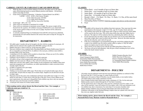### **CARROLL COUNTY JR. FAIR GOAT CARCASS SHOW RULES**

- While the data is a tool to aid the ranking of carcasses, the judge reserves the right to 1. make official placing based on current industry practices and markets. All decisions made by the judge are final.
- Goats will be evaluated to determine % Boneless Trimmed Retail Cuts (BTRC) 2.
	- % BTRC =  $49.94 (0.085 \text{ x} \text{ Hot Carcass Weight})$ 
		- $-(4.38 \times Back$  Fat at the 12th Rib)
		- $-(3.53 \times$  Body Wall Thickness)
		- $+(2.46 \times$  Rib Eye Area at the 12th Rib)
- 3. Yield Grade =  $(BF \times 10) + 0.4$
- There will be no minimum or maximum live weight. 4.
- There will be no minimum or maximum carcass weight. The carcass weight will be 5. factored into the equation. All exhibitors must pay \$2.00/head for every animal delivered to the carcass contest to help cover the cost of a judge. Payment will be collected at carcass drop-off.
- A correctly completed Drug Use Notification Form (DUNF) will need to be submitted electronically for each animal entered in the carcass show prior to drop-off. See page 50 for instructions.

# **DEPARTMENT 7 - RABBITS**

- NO rabbit under 4 months old can be brought to the fair with the exception of a meat pen. All 1. rabbits must be tattooed with a legible tattoo BEFORE coming to the fair.
- $2$ Rabbits must have a tattoo in left ear, except meat pen rabbits.
- Meat pen exhibitors must complete both a Breeding Rabbit and Market Rabbit project book (4- $3.$ H) or comparable record book (FFA). In addition to the meat pen, exhibitors must exhibit a breeding rabbit of the same breed.
- $4.$ A minimum of  $(5)$  five rabbits will be needed in a breed class. If there are not  $(5)$  five rabbits, the rabbits will be shown in ALL OTHER.
- Exhibitors will be limited to seven single rabbits and a meat pen.  $5.$
- All rabbits will go to their assigned pens upon arrival at the fair. 6.
- Rabbits must be in pens by 5:00 pm, or they will not be allowed to show on Thursday. 7.
- Rabbit pens will have their rabbit's tattoo number on pen assignment card. Rabbit's tattoo must 8. match pen assignment card. If problems, see rabbit superintendent to make corrections before Tuesday night of the fair.
- If rabbit is scratched, leave pen empty. 9.
- 10. No toys in rabbit pens.
- 11. Nothing is to be stored under rabbit cages. Wood chips are to be placed under cages, but are not provided. All pens that are empty are to remain empty. Supplies are not allowed to be put in empty cages.
- 12. Meat pens must be the same color combination and breed. Each rabbit must weigh 3.5-5.5 lbs., and be no more than 12 weeks old as of the first day of the fair. If one or more rabbits do not meet requirements, the entire pen is disqualified. Each exhibitor may show only one meat pen.
- 13. Meat pen must come from doe owned by exhibitor.
- 14. A meat pen will consist of (3) three market rabbits.

### When making entries, please denote the Breed and the Class. For example, a California meat pen would be C-6.

#### **BREEDS:**

| A. LION HEAD    |                          |
|-----------------|--------------------------|
| B. DUTCH        | E HOLLAND LOPS           |
| C. CALIFORNIA   | G. NEW ZEALAND           |
| D. REX/MINI REX | H. OTHER (Specify breed) |
| E. MINI LOPS    | L MIXED                  |

### **CLASSES:**

- $1.$ Senior Buck - over 8 months of age as of show date
- $2.$ Senior Doe – over  $8$  months of age as of show date
- Junior Buck  $-4-8$  months of age as of show date  $3.$
- 4. Junior Doe  $-4-8$  months of age as of show date
- Breeder's Herd 1 Sr. Buck, 1 Sr. Doe, 1 Jr. Buck, 1 Jr. Doe, all the same breed  $5<sub>1</sub>$
- 6. Meat Pen (Pen of Three)
- Outstanding Market Exhibitor (check box on paper entry form or on-line entry form)  $7.$
- 8. Fryer

#### **Frver Class**

- One rabbit will be chosen by the exhibitor from their meat pen. They must meet the same  $1$ requirements as the meat pen: weigh 3.5-5.5 lbs., age 10-12 weeks, breed, and color.
- $2.$ The exhibitor must notify the weigh master after weigh-in of their meat pen which rabbit will be used for the fryer class. This will be done before they take their rabbits back to their pen. The right ear will be marked at that time, identifying that rabbit as the fryer.
- If your meat pen does not make weight, but you still have one of your meat rabbits that  $3.$ does make weight, then it may be used in the fryer class. However, the entire meat pen must be left at the fair, and it still will not sell.
- If the fryer would happen to get disqualified during the week before judging but after  $4.$ weigh-in, the exhibitor may not choose another rabbit to replace it. Only the rabbit chosen at weigh-in may be used in the fryer class.
- There will be  $(5)$  five places given with the top rabbit being Best of Show Fryer.  $5.$
- The fryers will not be sold separately. Only the pen of three including the fryer will be 6 sold at the Small Animal Auction.

### **AWARDS:**

Best Of Show Fryer Grand Champion Market Rabbit Intermediate Rabbit Showmanship Jr. Outstanding Market Rabbit Exhibitor Junior Rabbit Showmanship Novice Rabbit Showmanship Rabbit Best Of Show

Rabbit Champion Breeders Herd Rabbit Showman Of Showmen Reserve Champion Market Rabbit Sr. Outstanding Market Rabbit Exhibitor Senior Rabbit Showmanship

# **DEPARTMENT 8 - POULTRY**

- All poultry must be pullorum tested and must meet pullorum guidelines as outlined in Ohio 1. Revised Code 901:1-18-05 (see page 16, under Poultry & Foul).
- Market pen will consist of three  $(3)$  broilers, two  $(2)$  market ducks, or one market turkey.  $2<sup>1</sup>$
- $3.$ All market turkeys must weigh a minimum of 20 lbs.
- Pens of market broilers (three birds) must weigh a minimum of 15 lbs. for the entire pen.  $4.$
- Market poultry must be ordered through the Jr. Fair Sales Committee. 5.
- For the market duck class to take place, there must be a minimum of  $(5)$  five orders, or the 6. class will be canceled. A pen will consist of (2) two ducks, with a 10 lb. pen minimum to sell.
- An exhibitor may show a maximum of no more than (7) seven pens of poultry total.  $7.$
- Market chicken exhibitors must use the provided feeders and waters for their pens. 8.
- Exhibitors with poultry in the Rosebud Mining Complex must use a plastic tote (with lid) if  $9<sub>1</sub>$ they store any supplies under their pen.

When making entries, please denote the Breed and the Class. For example, a Plymouth Rock Fancy Bantam would be Plymouth Rock-3.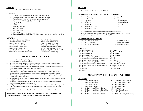### **BREEDS:**

#### PLEASE LIST BREED ON ENTRY FORM  $\bullet$

### **CLASSES:**

- 1. Commercial pen of 2 birds (hens, pullets, or cockerels)
- Fancy Standard pen of 2 birds (one rooster  $\&$  one hen) 2.
- Fancy Bantam pen of 2 birds (one rooster  $\&$  one hen)  $\mathfrak{Z}$ .
- $4.$ Ducks – pen of 2 birds (1 drake & 1 hen)
- Squabs & Pigeons  $5.$
- Geese 6.
- 7. **Breeding Turkeys**
- 8. Market Chickens
- Market Turkey 9.
- 10. Market Ducks
- 11. Outstanding Market Exhibitor (check box on paper entry form or on-line entry form)

#### **AWARDS:**

Best Of Show Commercial Chickens Best Of Show Fancy Chickens Best Of Show Other Fowl Grand Champion Market Chicken **Grand Champion Market Ducks Grand Champion Market Turkey** Intermediate Poultry Showmanship Jr. Outstanding Market Poultry Exhibitor Junior Poultry Showmanship Novice Poultry Showmanship Poultry Showman Of Showmen Reserve Champion Market Chickens Reserve Champion Market Ducks Reserve Champion Market Turkey Sr. Outstanding Market Poultry Exhibitor Senior Poultry Showmanship

# **DEPARTMENT 9 - DOGS**

- Limited to Carroll County 4-H dog club members. 1.
- Dogs must be under control at all times.  $2.$
- Dogs that snap or bite will be dismissed from the show and forfeit any premiums won.  $3.$
- Pet Care Project will be judged on Project Exhibit Day. 4.
- Dogs must be crated in area provided. They will be excused to the exercise area before show,  $5.$ during lunch break, after show, and after show breaks.
- Female dogs in heat may not be shown. 6.
- Requirements of a county dog license by May 15 of current year. License must be in  $7.$ exhibitor's family name. License and shot records to be checked at knowledge judging.
- When a dog is at the fairgrounds, it must be supervised at all times by the dog exhibitor, family 8. member of the exhibitor, or advisor.
- No dog shall be allowed on fairgrounds more than one (1) hour prior to show or no longer than 9. one  $(1)$  hour after show in the designated area.
- 10. All dogs will be excused from the crate area on leash for exercise and bathroom breaks to a designated area as needed during the show.
- 11. All dogs found outside designated areas are to be immediately dismissed from the fairgrounds.
- 12. Top Scoring Dog must be the same dog for Showmanship and Obedience with the same exhibitor.
- 13. The winner of each showmanship class will enter the Showman of Showmen class.

When making entries, please denote the Breed and the Class. For example, an Australian Shepherd Novice B would be Australian Shepherd-5.

#### **BREEDS:**

• PLEASE LIST ON ENTRY FORM

### **CLASSES (ALL BREEDS OBEDIENCE TRAINING):**

- Pre Novice A 1.
- 2. Pre Novice B  $3.$ 
	- Beginners
- Novice A  $4.$
- Novice B  $5<sub>1</sub>$
- 6. Graduate Novice A  $7^{\circ}$ 
	- Graduate Novice B
		-

8.

Open A

10. Graduate Open A

11. Graduate Open B

9. Open B

12. Utility A

13. Utility

A - Is for dogs and/or handlers with no previous training experience.

B - Is for dogs and/or handlers with previous training experience or shown in an AKC sanctioned match, or has training outside of 4-H / FFA.

#### **CLASSES (SHOWMANSHIP):**

14. 9-11, No Experience 15. 9-11 Experience 16. 12-14, No Experience

#### **AWARDS:**

- Dog Graduate Novice A Dog Graduate Novice B Dog Graduate Open A Dog Graduate Open B Dog Grooming & Handling 12-14 Experience Dog Grooming & Handling 12-14 No Experience Dog Grooming & Handling 15-19 Experience Dog Grooming & Handling 15-19 No Experience Dog Grooming & Handling 9-11 Experience Dog Grooming & Handling 9-11 No Experience Dog Novice A Dog Novice B Dog Open A
- 19. 15-18 Experience Dog Open B

17. 12-14 Experience

18. 15-18, No Experience

Dog Showman Of Showmen Dog Pre Novice A Dog Pre Novice B Dog Beginners Dog Utility A Dog Utility B Intermediate Dog Showmanship Junior Dog Showmanship Novice Dog Showmanship Senior Dog Showmanship Top Scoring Dog

# **DEPARTMENT 10 - FFA CROP & SHOP**

### **CLASSES:**

- 1. Large Wood Project
- Small Wood Project 2.
- Large Metal Project  $\mathfrak{Z}$ .
- 
- 18" Bale Slice of Hay Alfalfa 5.
- - 15. S.A.E. Poster

9.

16. Other S.A.E. Project (Specify)

Round Bale Hay Sample

10. One Quart Hybrid Corn

14. Other Crop (Specify)

11. One Quart Wheat

12. One Ouart Oats

13. Vegetable

### $4.$ **Small Metal Project**

- 18" Bale Slice of Hay Alfalfa Mix 6.
- 18" Bale Slice of Hay Grass  $7.$ 18" Bale Slice of Hay - Clover 8.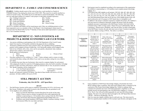# **DEPARTMENT 11 - FAMILY AND CONSUMER SCIENCE**

CLASS 1: Exhibits should consist of the work of any boy or girl enrolled in a Family & Consumer Science Class during the school year of 2021-2022. They must live in and be enrolled in a school in Carroll County. The exhibit may be an individual or school booth display. The following are to be individual exhibits of a student's class project or individual extended experience: (F.) Textiles

- (A.) Clothing Construction
- (B.) Child Development
- (C.) Foods and Nutrition
	-
- (D.) Home Furnishings (E.) Consumer Education
- (G.) Family Living (H.) Health  $(I.)$  Home Ecology
- 

All FCCLA members and leaders will be issued passes only if they are exhibiting projects or have been requested to serve as a member of the Jr. Fair Board. A list of participant's names must be received at the Fair Board office by the 2<sup>nd</sup> Saturday of June and an adult representative is present at the Jr. Fair Committee meetings.

# **DEPARTMENT 12 - NON LIVESTOCK 4-H PROJECTS & HOME ECONOMICS 4-H CLUB WORK**

- 1. Any person exhibiting or participating in the 4-H Club Department of the Carroll County Junior Fair must be a 4-H member enrolled in the project he/she is exhibiting.
- 2. All projects exhibited must have been carried in  $2022$ . All vegetable & flower gardening projects will be judged on Project Exhibit Day. 4-H Club booth exhibits will be judged on the basis of use of theme, tells a story, story can be seen quickly, educational value, neatness, attractiveness, balance, and creativeness.
- Booth options for food projects:  $3.$ 
	- a. Menu e. Picture of food c. Recipes b. Place Setting d. Poster
- 4. One place setting for every exhibitor (i.e.  $3$  kids =  $3$  place settings), and/or a menu or recipe card around the place setting with ribbon if you want to use one place setting for every child to save space.
- 5. If a member has more than one food project, there must be a separate display for each project.
- After judging the booths for creativity (4-H judging purposes only), the booth committee will judge 6. projects to make sure those still projects, which are entered in the Jr. Fair, are present as entered.
- The Booth Committee will be comprised of: 7. a. A Sr. Fair Board representative
- c. A Still Project Committee representative
- b. A 4-H Committee representative
- Booths will represent a general 4-H theme. One-third of these booths will receive a \$15.00 8. premium. All other exhibits will receive \$5.00.

# **STILL PROJECT AUCTION**

#### Wednesday, July 20 6:30 PM - AEP Speed Barn

#### **RULES**

- The Still Project Auction will be open to exhibitors representing 4-H, FFA, Girl Scouts, and  $1.$ Boy Scouts. Exhibitors with market livestock in the livestock sales are permitted to sell.
- $2.$ To be eligible to sell, exhibitors MUST:
	- Select yes from the Still Project Auction drop down list on the on-line entry website. Projects must be a project recognized by the youth organization the exhibitor is representing (i.e. 4-H members chose a project from the 2022 Family Guide, Girl Scouts chose from the organizations project/badge book, etc.)
	- II. Exhibitors must attend mandatory Still Project Quality Assurance training. Contact the Extension Office for exact dates and times.
- Each project must be completed according to the requirements of the organization III. the exhibitor is representing (i.e. 4-H members must complete project knowledge judging, etc.)
- 4-H Projects that ARE eligible to sell include: COP-365, 406, 407, 408, 409, 410, IV. 411, 412, 413, 415, 417, 418, 419, 420, 424, 426, 432M, 491, 494, 497, 498, 499, 540, 527, 528, 529, 556, 557, 558, 559, 560M, 573, 584, 585, 586, 589M, & 592. Any Self-Determined Project that can fit into any of the eligible project areas will also be allowed to sell. If a project is NOT listed, then it is ineligible to sell.
- In addition to the project evaluation required to complete the project, the exhibitor's  $V_{\cdot}$ sale item must be evaluated to determine whether the project meets the quality standards necessary to participate in the Still Project Auction. Each item will be evaluated using a rubric scoring system, which will cover Craftsmanship, Skill, & Consistency, Attractiveness, Durability, and Time & Effort. In order to participate in the Still Project Auction, the sale item must score at least 12 points to qualify for the auction. Rubric scoring is FINAL. The rubric is as follows:

|                                           | 4                                                                                                                                                                                 | 3                                                                                                                                                         | $\overline{2}$                                                                                                                | 1                                                                                                                              |
|-------------------------------------------|-----------------------------------------------------------------------------------------------------------------------------------------------------------------------------------|-----------------------------------------------------------------------------------------------------------------------------------------------------------|-------------------------------------------------------------------------------------------------------------------------------|--------------------------------------------------------------------------------------------------------------------------------|
| Craftsmanship,<br>Skill, &<br>Consistency | The project was<br>beautifully and<br>patiently done; it<br>was as good as<br>hard work could<br>make it.                                                                         | With a little more<br>effort, the work could<br>have been<br>outstanding; lacks<br>finishing touches.                                                     | The project showed<br>average<br>craftsmanship;<br>adequate, but not as<br>good as it could<br>have been, a bit<br>careless.  | The project<br>showed below<br>average<br>craftsmanship;<br>lack of pride in<br>finished work.                                 |
| <b>Attractiveness</b>                     | The project shows<br>that the creator<br>took great pride in<br>his/her work. The<br>construction looks<br>carefully planned.<br>The item is neatly<br>presented.                 | The project shows<br>that the creator took<br>pride in his/her work.<br>The item has a few<br>flaws, but they do not<br>detract from the<br>overall look. | The design and<br>construction were<br>planned. The<br>project has several<br>flaws that detract<br>from the overall<br>look. | The project<br>looks thrown<br>together at the<br>last minute. It<br>appears that little<br>design or<br>planning was<br>done. |
| <b>Durability</b>                         | The project was<br>built to last<br>through multiple<br>uses/applications.                                                                                                        | Most of the project<br>was sturdy, but there<br>are a couple of pieces<br>that might need extra<br>care when<br>wearing/using it.                         | The basic structure<br>of the project is<br>sturdy, but many of<br>the details are<br>fragile.                                | The project is<br>flimsy and falls<br>apart easily. It<br>may not last.                                                        |
| Time & Effort                             | The project<br>exhibits that much<br>time and effort<br>went into the<br>planning and<br>design of the<br>project. It is clear<br>the exhibitor<br>worked hard on the<br>project. | The exhibitor could<br>have put more time<br>and effort into the<br>project, but it appears<br>that effort was put<br>forth.                              | The project appears<br>to be rushed and<br>thrown together.<br>Little effort was put<br>forth.                                | The project is<br>poorly put<br>together with<br>very poor effort<br>on the part of the<br>exhibitor                           |

- VI. Upon completion of Still Project Knowledge Judging, all potential sale items MUST undergo rubric evaluation. Sale items must undergo rubric evaluation by the conclusion of the Project Knowledge Judging Day. Failure to undergo rubric evaluation for potential sale items will forfeit participant's eligibility to sell. This includes anyone not participating in the 4-H Still Project Judging (i.e. Scouts or FFA). The Jr. Fair will not be held responsible for any item left at Knowledge Judging. The item to be sold must then be brought to the AEP Speed Barn between  $1:00 \text{ pm} - 4:00 \text{ pm}$  on Wednesday, July 20.
- VII. Only two items per eligible exhibitor may be sold each year. The items must be from two separate project numbers (4-H) or project type (Scouts), and appear on the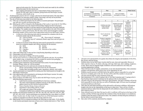approved sale project list. The items must be the actual ones made by the exhibitor for his/her project for the current year.

- VIII. Early judging participants must have a representative bring in their project to register for sale order, rubric evaluation, pickup before the Still Project Awards Ceremony, and to booth set up.
- All photographs must be  $10^{\circ}x12^{\circ}$  or larger, and must be framed and matted. The main object  $\mathbf{3}$ . in the photograph to be sold must contain a sharp, crisp image, and may not be pixelated.
- The sale of food items must abide by the following rules: 4.
	- (A.) Only one (1) baked good project may be sold by an auction participant. The participant may still sell a second, non-food auction item.
	- (B.) Baked goods will be evaluated on the Wednesday of fair week at 1 pm in the Sr. Fair Office. Auction participants must also attend 4-H Knowledge Judging for their food project.
	- (C.) Every participant who plans to sell their baked item must bring their item and a duplicate for sampling. The samples must be representative of the product to be sold. If the auction item contains a variety of food items, then the same variety must be brought to sample. Remaining samples will be used as buyer appreciation treats for the Still Project Auction.
		- At least two of the following items must be presented for evaluation (one for an  $\bullet$ evaluation sample and one for the auction):
			- (A) Loaves of bread (B) Pies or tarts  $(9"$  minimum)
			- (C) Cakes (sheet, layer (8" minimum), Bundt, angel food, and roll types are acceptable)

(E) Scones

- At least six  $(6)$  dozen of the following items must be presented for evaluation  $(2)$ dozen for evaluation samples and 4 dozen minimum for the auction):
	- $(A)$  Rolls (B) Cookies
		- (F) Biscuits (G) Brownies or bar cookies
	- (C) Cupcakes
	- (D) Muffins
- (D.) Cakes and cookies may or may not have icing/frosting depending on their type.
- (E.) Cheesecakes will not be accepted.
- (F.) Cream or custard pies or fillings will not be accepted.
- (G.) All sale items must be in a container that will be sold with the sale item. No styrofoam plates, plastic wrap, or aluminum foil will be accepted for auction item packaging. Samples may be submitted in disposable packaging.
- (H.) All baked good components must be homemade from scratch. No store bought mixes, frostings, fillings, crusts, etc. will be accepted.
- (I.) Each baked good item to be sold must also include the following:
	- Recipe card (including mixing instructions for all components) I.
	- II. Product label (including product name, ingredients, quantity, and weight)
- (J.) Auction participants are responsible for making sure their baked goods are brought to the Still Project Auction area.
- (K.) Only baked goods will be permitted to sell during the Still Project Auction. No candy, jams, jellies, or butters will be accepted.
- (L.) Honey products and edible honey may be sold in the Still Project Auction, given the following labeling requirements:
	- Label must be securely attached/affixed to the honey container. I.
	- The name of the beekeeper (exhibitor) must be on the label. The seller's II. address must be on file with the Extension Office.
	- III. Name of product (honey, honey comb, etc.).
	- IV. Ingredients in descending order by weight.
	- Net weight and volume of the product. V.
	- Evaluation of edible honey products will be performed at Knowledge Judging. VI.
- (M.) Eligible 4-H food project numbers are: 459, 461, 462, 463, 467, 469, 475, 476, 477, 484, 485, 487, 492, & 641. Auction participants are reminded that they must adhere to all Still Project Auction rules. In other words, if a recipe from one of the listed project numbers contains an ingredient not allowed, then that recipe cannot be used.
- (N.) Baked goods will be evaluated according to the following two part rubric. To be eligible to sell, auction participants must earn at least seven (7) points and receive a "Pass" on the

"Finish" rubric.

|                                                                                              | Pass                               | Fail                                         | <b>Points Scored</b> |
|----------------------------------------------------------------------------------------------|------------------------------------|----------------------------------------------|----------------------|
| Finish<br>(Evaluated on a pass/fail basis.<br>Item must pass to continue with<br>evaluation) | Item has been<br>baked thoroughly. | Item is not baked<br>thoroughly or is burnt. | P/F                  |

|                           | $\mathbf{2}$                                                                                                                                           |                                                                                                             | $\mathbf{0}$                                                                                     | Pts. |
|---------------------------|--------------------------------------------------------------------------------------------------------------------------------------------------------|-------------------------------------------------------------------------------------------------------------|--------------------------------------------------------------------------------------------------|------|
| <b>Documentation</b>      | Exhibitor provided<br>recipe card and<br>product label.                                                                                                | Exhibitor provided<br>the recipe card<br>and/or product<br>label, but is<br>incomplete.                     | Exhibitor<br>failed to<br>present one<br>or more of<br>the necessary<br>documents<br>required.   |      |
| <b>Presentation</b>       | Item is attractively<br>packaged.                                                                                                                      | Item is<br>appropriately<br>packaged.                                                                       | Item<br>packaging is<br>not<br>acceptable.                                                       |      |
| <b>Product Appearance</b> | Product is appealing<br>to look at without<br>any presentation<br>flaws. Item displays<br>characteristics<br>commonly associated<br>with this product. | Product is<br>appealing but has<br>a few visible flaws<br>that detract from<br>the overall<br>presentation. | Product<br>presented has<br>serious visual<br>flaws that<br>make it look<br>very<br>unappealing. |      |
| <b>Flavor</b>             | Product is delicious<br>and has flavor<br>consistent with this<br>baked product.                                                                       | Product is missing<br>a component that<br>could improve the<br>flavor.                                      | Product<br>flavor is not<br>appealing.                                                           |      |

- 5. All items to be sold should be of a quality that reflects the integrity and standards of 4-H, FFA, Boy Scouts, and Girl Scouts.
- Exhibitor dress for the Still Project Auction shall be neat, clean and respectable. Dresses or 6. shirts must have sleeves. No shorts, tube tops, tank tops, halter tops, sheer clothing, sunglasses, or hats. Skirts must be fingertip length. Exhibitors will not be allowed to sell if they are wearing inappropriate clothing.
- There will be no sale of weapons, ammunition, or any item deemed hazardous. Sale committee 7. members will determine which project may not be appropriate for sale.
- Exhibitor must be present to sell their item at the auction, and are responsible for seeing that 8. the item is on display prior to the sale. No item will be sold if the member is not present.
- $9<sub>1</sub>$ All items must be paid for at the conclusion of the sale.
- 10. Sale commission is 5%, with 4% going to the Jr. Fair Sale Committee and 1% going to the Jr. Fair Facilities Improvement Committee for the upkeep of the Jr. Fair facilities.
- 11. All items will go to the possession of the buyer upon purchase. The Sale Committee will not be held responsible for items after they are sold on Wednesday night. All items must be packaged securely for delivery to the buyer.
- 12. Only state fair and online purchases will be delivered by still project exhibitors. Still projects bought at the fair are the responsibility of the buyer to haul away. There will be a 30 mile maximum delivery radius from the fairgrounds for still exhibitors to deliver their projects to their respective buver.
- 13. Items selected to go to the State Fair may be sold. A certificate will be given to the buyer at the auction, and they will then sign and date the certificate if they feel the project is in satisfactory condition when the project is delivered to them. The exhibitor will then bring the certificate to the fair office to receive their check.
- 14. Sale order will be randomly determined by computer.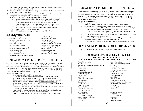- 15. Exhibitors shall submit pictures for buyer photos by the specified deadlines using the online entry website. Deadlines for 2022 is July 16.
- 16. Proceeds of the items decorating the stage, if applicable, and sold at Still Project Auction will go to the 4-H Committee. No resales.
- 17. Any youth organization wishing to participate in the Still Project Auction must have at least one representative serving on the Jr. Fair Still Project Committee.
- 18. All protests and grievances must use the following procedures:
	- It must be submitted in writing to the Junior Fair Office within 24 hours of the action or class being protested. A fee of \$50.00 must be paid at the time of filing the grievance. If the grievance is found to be in favor of the applicant, then the money will be returned to the applicant. If not in favor of the applicant, then the money will be retained by the Jr. Fair. Decisions on protests and grievances will be decided upon by the Jr. Fair Committee.
	- $\Pi$ . All decisions of the committee are final.
	- III. Written decisions may be picked up at the Junior Fair Office.

#### **NON LIVESTOCK AWARDS**

**Best Cake Decorating** Best Clothing & Textile Project Best Creative & Leisure Arts Project **Best Fishing Project** Best Gardening Project **Best Healthy Living Project** Best Junior Foods & Nutrition Project Best Junior Self-Determined Project Best Lawn Care Project **Best Leadership Project Best Natural Resources Project** Best Personal Skills Development Project Best Pet Care Project **Best Photography Project Best Ouilting Project Best Scrapbooking Project** Best Senior Foods & Nutrition Project Best Senior Self-Determined Project Best Shooting Sports Project Best STEM Project Best Vet Science Project **Best Welding Project** Best Woodworking Project

# **DEPARTMENT 13 - BOY SCOUTS OF AMERICA**

Cub Scouts, Weblos, Boy Scouts, and Explorers will be issued passes only if they are exhibiting projects or have been requested to serve as a member of the Junior Fair Board. A list of participant names must be received at the Sr. Fair Board office by the 2<sup>nd</sup> Saturday of June. Each troop will be permitted two (2) Leaders per troop, whose names must also be submitted by the 2<sup>nd</sup> Saturday of June. An entry form is only required for those individuals who wish to sell in the Still Project **Auction (see Still Project Auction rules on pages 37-41). GENERAL GUIDELINES:** 

- 1. Every registered unit is *eligible* to have a booth.
- Scouts' and leaders' names are highly encouraged to be included in the booth. 2.
- All exhibits must be completed and in place by 9 PM on Monday, July 18, 2022.
- Gate passes will only be available to those individuals whose names are submitted by the  $4.$ 2<sup>nd</sup> Saturday in June to the Jr. Fair Secretary (carrollcountyjrfair@gmail.com).
- 5. Articles displayed within the booth must not have been entered in any previous Carroll County Fair, and must be as fire-proof as possible.
- Exhibits will not be released until 7 PM on Sunday, July 24, 2022, the last day of the fair. 6.
- Everything must be taken out of the booth. 7.
- Premiums will be awarded to each troop, in the amount of \$15, provided a booth is 8. displayed at the fair\*. There will be no individual premiums.
	- \* The Sr. Fair Board has the right to reserve premiums if expenses exceed the budget.

# **DEPARTMENT 14 - GIRL SCOUTS OF AMERICA**

All Girl Scouts will be issued passes only if they are exhibiting projects or have been requested to serve as a member of the Junior Fair Board. A list of participant names must be received at the Sr. Fair Board office by the  $2<sup>nd</sup>$  Saturday of June. Each troop will be permitted two (2) Leaders per troop, whose names must also be submitted by the  $2<sup>nd</sup>$  Saturday of June. An entry form is only required for those individuals who wish to sell in the Still Project Auction (see Still Project Auction rules on pages 37-41).

#### **GENERAL GUIDELINES:**

- 1. Every registered unit is *eligible* to have a booth.
- Scouts' and leaders' names are highly encouraged to be included in the booth. 2.
- $3.$ All exhibits must be completed and in place by 9 PM on Monday, July 18, 2022.
- Gate passes will only be available to those individuals whose names are submitted by the  $2<sup>nd</sup>$  Saturday in June to the Jr. Fair Secretary (carroll county irfair @gmail.com).
- Articles displayed within the booth must not have been entered in any previous Carroll  $5.$ County Fair, and must be as fire-proof as possible.
- Exhibits will not be released until 7 PM on Sunday, July 24, 2022, the last day of the fair. 6.
- Everything must be taken out of the booth. 7.
- Premiums will be awarded to each troop, in the amount of \$15, provided a booth is 8. displayed at the fair\*. There will be no individual premiums.
	- \* The Sr. Fair Board has the right to reserve premiums if expenses exceed the budget.

# **DEPARTMENT 15 - OTHER YOUTH ORGANIZATIONS**

All projects to be sold at the Junior Fair Sales must be approved by Leaders or Advisors.

# **CARROLL COUNTY'S JUNIOR FAIR MEMBERS SALUTE THE BUYERS AT THE 2021 CARROLL COUNTY JR. FAIR STILL PROJECT AUCTION**

Aaron & Becky Stoller **ACE** Hardware AK Environmental Consulting - Austin Kirk Alan and Cheryl Jones Becky Saylor **Belle's House Belmont Solids Control Bentley Photography** Bob Modranski Bob's Pub **Brush Creek Vet Services** Carl & Kayla Fry Carole Thorne Carrollton MooDowon Charles Herrington Danene Carlisle Daniel & Marjorie Hughes Diamond T Fencing Dr John Walters Dr. Mandal Haas Dr. Tom and J.C. Birong DTM Computer Services, Inc. Eshler Farms Fair Vision

Ferren's Lawn Care Finnicum Hometown Agency, LLC Gary Hulett Gateway Royalty Guess Ford/Guess Motors Hair Etc, Haynam Sweetcorn Hamilton Insurance Hillbilly Holler Farm Householder Farms Iami Fisher Jennifer Cramer Jim & Jamie Rosenberger Jimmy's Backyard BBQ Carrollton Joe Bottoms Campground Joe Scott John Campbell Joseph Elliott JS Sounds Judge Mike Repella Kathy Molek Katie Larson Pleskac Kim Locker Kitty Eick Leggett's Lawncare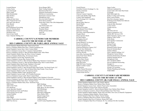Leonard Hutson Luckey Farms Lynn Fairclough Mark Cargill Mark Householder Mark Walters Mike Pence Nathan & Kate Jones Obov Financial Services Orlo and Caran Brown Patty Barnett Peggy Jocek Ron Williamson Excavating Rvan & Christina Buck Sandstone Hill Flowers Sarchione Ford Sean & Janet Smith Sean A Speedy Drilling, LLC

Seven Ranges MFG **Shale Testing Solutions** Sherman & Patti Over Simmons Performance Products **SM Brown Construction** Sportsman's Treasure Chest Springbrook Farm Steven & Kelli Pridemore **Stone House Gardens** Susan Haas Thirty-One Gifts Independent Consultant Top Notch Feeds, LLC V. Joanne Eshler Wanedas Dinner Wildwood Innovations Zach Ott Zeb Casper

# **CARROLL COUNTY'S JUNIOR FAIR MEMBERS SALUTE THE BUYERS AT THE** 2021 CARROLL COUNTY JR. FAIR LARGE ANIMAL SALE

Grand Champion Market Beef Steer: Hanoverton Feeds Reserve Champion Market Beef Steer: Unkefer Equipment, Inc Grand Champion Carcass Steer: Don's Custom Meats Reserve Champion Carcass Steer: Consumers National Bank Reserve Champion Carroll Co. Born & Raised Market Steer: Kiko Meats Grand Champion Market Hog: dac Direct Action Company Reserve Champion Market Hog: All American Scales Grand Champion Carcass Hog: Sarchione Ford Reserve Champion Carcass Hog: Encino Energy Grand Champion Carroll Co. Born & Raised Market Hog: Romano's Custom Cabinets Reserve Champion Carroll Co. Born & Raised Market Hog: Don's Custom Meats Grand Champion Dairy Beef Feeder: Huebner's Chevrolet Reserve Champion Dairy Beef Feeder: Greg Loudon Grand Champion Carroll Co. Born & Raised Dairy Beef Feeder: Top Notch Feeds, LLC Reserve Champion Carroll Co. Born & Raised Dairy Beef Feeder: Corey Essick Grand Champion Market Lamb: All American Scales Reserve Champion Market Lamb: Sarchione Ford Grand Champion Carcass Lamb: ACE Portable Restrooms Reserve Champion Carcass Lamb: Don's Custom Meats Grand Champion Carroll Co. Born & Raised Market Lamb: Huebner's Chevrolet Reserve Champion Carroll Co. Born & Raised Market Lamb: Kiko Auctioneers and Realtors Grand Champion Market Dairy Steer: Youngen Farms Reserve Champion Market Dairy Steer: Sarchione Ford 3HM Farms **B&N** Holdings A&N Critter Farm Ben Erb - The Pond Guv Beth, Becca, & Sara Gamber **ACE Hardware Acuity Specialty Hospital Bill Offenberger** Adam Henderson Grain and Produce **Bird Mans Cans** Alicon Energy Service and **Blue Racer Midstream** Animal Hospital **Bruce Barker DDS** Ann Gamber **Burgett Angus Farm** Burgett Roll Off Arbor Magic **Ashton's Preservation Association** Canton Erectors **B&B** Tree Service Carroll County Republican Party

Carroll Electric Carrollton Farmers Exchange Co., Inc. Charles Ackerman Cheryl Davis Chiavari Custom Carpentry Cindi Leslie ReMax Edge Realty Country Side Equipment CYA Exchange LLC Carrollton D&J Sales Dan & Kathy Shawver Darrell Shafer David Bodo Dayton Excavating Dena Barnett Wesco Realty Diamond T Fencing Don Jones, State Representative Douglas Baum Doyle and June Hawk Dr John Walters Dr Stephen Dowell Dr. Mandal Haas Eastern Buckeve Vet Service Eric & Lisa Sanford Farmers Equipment Inc. Finnicum Hometown Agency LLC Flora & Alice McKinniss Gaspar Body and Paint Inc. Gateway Royalty Geno Kiko Auctioneer/Realtor Guess Ford /Guess Motors Hamilton Insurance Harlem Dairy Dream Heritage Cooperative High Hill Farms High Hill Farms Trucking Holmes Lumber Canton **I70** Auctions **Infinity Natural Resources** J Green Excavating, LLC J Hawk Water Service

James Locker Jefferson Landmark Inc. JoAnn Clark with Cutler Real Estate IS Sounds K&S Millwrights Inc. Kathy's Cookies and Catering Katie Larson Pleskac Kim Davis Insurane Agency Kishmans Fresh Market IGA Malvern Leonard Hutson Linda & Mike Moreland Luckey Farms Lumber Service Mann McClain's Service Minerva Enterprises, LLC Mobile IBC Services LTD Parker Insurance Agency, LLC Pidgeon Valley Farms Polen Meats Pools Ouality Construction Razor Rents Richard Weals Ron Nuzzolillo **Rummell Family Dorsets** Ryan & Christina Buck Sander's Market Sean A Speedy Drilling, LLC Shingleton Custom Homes Simmons Performance Products Simpson Heating and Air Springbrook Farm Steve & Shanna Dillon **Steven D Barnett Prosecuting** Straight A's Tim's Repair Service LLC Wendy's of Carrollton Whisler Plumbing and Heating WMS OHIO

# **CARROLL COUNTY'S JUNIOR FAIR MEMBERS SALUTE THE BUYERS AT THE** 2021 CARROLL COUNTY JR. FAIR SMALL ANIMAL SALE

Grand Champion Market Goat: Lisko Family Midway Reserve Champion Market Goat: Harlem Dairy Dream Grand Champion Carcass Goat: Ashton's Preservation Association Reserve Champion Carcass Goat: Gateway Royalty Grand Champion Carroll Co. Born & Raised Market Goat: Harlem Dairy Dream Reserve Champion Carroll Co. Born & Raised Market Goat: Weir Farm Grand Champion Market Rabbits: Roger and Carol Kiko, Iron Acres, & Harold's Equipment Reserve Champion Market Rabbits: Encino Energy Grand Champion Meat Pen of Ducks: Encino Energy Reserve Champion Meat Pen of Ducks: Encino Energy Grand Champion Meat Pen of Chickens: Dream Hill Cattle Reserve Champion Meat Pen of Chickens: Dr. Fry-Aultman Orrville Carrollton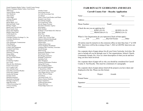Grand Champion Market Turkey: Carroll County Energy Reserve Champion Market Turkey: Eick Electric 3HM Farms Aaron & Becky Stoller ACE Hardware Allen Furbee Arbor Magic Aultman Hospital Bear Electric Bell & Blaire, LLC Brad and Sudie Yoder **Brittany Tangler** Brush Creek Vet Services Bryan Family Farm Bunny Hole Rabbitry Burgett Angus Farm Carl & Kayla Fry Carroll Electric Carrollton Farmers Exchange Co., Inc. Carrollton MooDowon Case Farms Chris Modranski, Commissioner Clara Barnard **Country Designs** Country Side Equipment Crooked Creek Farm Darrell Shafer Diamond T Fencing Donna Miller Dr John Walters Dusty and Ellen Rhome Eric Horn **Everlasting Trophies** Fair Vision Flora & Alice McKinniss Fred & Tricia Green Fry's Leather Craft Gary & Robin Frase Geno Kiko Auctioneer/Realtor Gotch and Company Gotcha Self Storage **Gromley Farms** Hamilton Insurance Heartland on Heritage Heritage Cooperative High Hill Farms J Green Excavating, LLC J Green Trucking James Shives

Jennifer Cramer Jim & Dana Gravett Joe Little Excavating Corp. Joy Hutson Justin's Farm Fresh Produce and Plants Kampfer Lane Farms Ken and Sue Grigsby Kevin and Kristy Tullis Kim & Megan Poorman Kim Davis Insurance Agency Kirk Stanley Kirk's Kitchen Kishman's Fresh Market IGA Malvern Kitty Dindo Kitty Weir Kris & Amie Booth Loudon Twp. Vol Fire Dept Martin & Michelle Brumbaugh McIntire Cattle and Grain Melissa Kiko Nathan & Kate Jones Nick & Stephanie Roudebush Northeast Ohio Veterinary Associates R & M Storage RMJ Fencing Robertson's Building Center Rohr Family Farm Ron Ruegg Automotive Rutledge Construction Sarchione Ford Sheri Thompson Simmons Performance Products **Spring Hill Teeters** Steve & Shanna Dillon Steven & Kelli Pridemore T. David Frew, DVM The Carroll County Messenger Tim's Repair Service, LLC Tinlin's Print on Things Tom Moore Top Notch Feeds, LLC Warrior Station Nutrition Wavts Automotive Wildwood Innovations Windy Hill Farm Windy Ridge Farms LLC

# **FAIR ROYALTY GUIDELINES AND RULES**

# **Carroll County Fair - Royalty Application**

| Name :                       |                                                |                                                                                                                                                   | Age: |  |
|------------------------------|------------------------------------------------|---------------------------------------------------------------------------------------------------------------------------------------------------|------|--|
|                              |                                                |                                                                                                                                                   |      |  |
|                              |                                                |                                                                                                                                                   |      |  |
|                              | (Check the one you are applying for)           |                                                                                                                                                   |      |  |
|                              |                                                | KING (16-19)<br>PRINCESS (9-13)<br>PRINCE (9-13)                                                                                                  |      |  |
|                              |                                                |                                                                                                                                                   |      |  |
|                              |                                                | What Jr. Fair Organization do you represent (Check all that apply)                                                                                |      |  |
|                              |                                                | _____4-H ______FFA ______Boy/Girl Scouts ______Other                                                                                              |      |  |
|                              |                                                | sure to include all you do through your Jr. Fair organizations, School, Church,                                                                   |      |  |
|                              |                                                | Community Groups, Etc. Give us a short description of what you do and how                                                                         |      |  |
| long you have been involved. |                                                | On a separate sheet of paper tell us why you should be considered for Carroll<br>County Jr. Fair Royalty. This must be a minimum of 2 paragraphs. |      |  |
|                              | displayed at the fair. Please use this format: | On a separate sheet of paper please listed all the projects you have taken and                                                                    |      |  |
| Year                         |                                                | Project Awards                                                                                                                                    |      |  |
|                              |                                                |                                                                                                                                                   |      |  |
|                              |                                                |                                                                                                                                                   |      |  |
|                              |                                                | Date:                                                                                                                                             |      |  |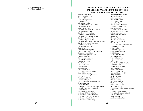$\sim$  NOTES  $\sim$ 

# **CARROLL COUNTY'S JUNIOR FAIR MEMBERS SALUTE THE AWARD SPONSORS FOR THE** 2021 CARROLL COUNTY JR. FAIR

Aaron & Becky Stoller Allan & Suzanne Tozzi A-Z 4-H Club Barry & Marilyn Statler **Becky Marteney** Bill & Sandy Findley Brown Frame Round-Up 4-H Club Bud & Carole Thorne **Burgett Angus Farm** By Friends In Memory Of Ray Roach Carl & Nancy Campbell Carroll Co. 4-H Committee Carroll Co. Cattlemen Assoc. Carroll Co. Dairy Promotion Board Carroll Co. Democratic Party Carroll Co. Republican Party Carroll Co. Soil & Water Conservation District Carroll Co. Township Association **Carroll County Coders** Carrollton Animal Hospital Chervl Jones Chiavari Custom Carpentry Chris Barnhart, Young Living Distributor Consumers National Bank **Country Side Equipment Sales** CYA Exchange LLC Dairy Farmers of America Dan & Kathy Shawver Danny's Barbershop Darrell Shafer Dave & Jana Davis Dinger's Garage Donna Hazzard Don's Custom Meats Dr. Tina Costarella.DVM.PhD Dusty & Ellen Rhome East Township Young Producers Fair Vision Farm Raisers 4-H Club Farmers Exchange Golden Acres AKC Golden Retrievers Green Haven Farm Hawk's Dairy Farm Heartland on Heritage Retreat Lodge & Barn High Hill Farms-The Davis Family Hillbilly Holler Homer Unkefer Equipment In Memory Of Heath R. Derby In Memory of Howard McFadden In Memory Of Melody Crall Alazaus In Memory of Paul K. Eick In Memory of Roselyn Derby

James Kline Family Jenine Stertzbach John & Becky Larson John & Judy Childers John & Ruth Davis John & Sharlene McFadden Kangaroo Krew 4-H Club Kiko Auctioneers Kishmans IGA & Gas-N-Go Larry & Janet Weaver Family LeBeau Geothermal Co. Lumber Service, Carrollton Martha Jones McCourry Family Mike & Vera Fox Family Mike Lozier, Auctioneer Moon Family NAPA Carrollton Distribution Center Nathan and Kate Jones Neider Family Northwind Ridge LLC Oboy Financial Services R & M Storage Rav & Ronda Rummell Renea's Hair Care Robert & Beulah Bland Roger & Carol Kiko Rohr Family Rose Hill Farm, Ed & Chris Barnhart Rosehollow Farm **Rummell Horned Dorsets** S&S Equipment Schaar Family Farms Sherrif Dale Williams Snoopy's Friends 4-H Club Stamp Enterprises Stillfork 4-H Club The Booth Family The Davis Family The Fierbaugh Family The Poorman Family Tim & Kenne Hartong Top Notch Feeds, LLC Varney Family Chiropractic & Wellness Center Vaughn & Crystal Slabaugh Walt & Connie Johnson & Family Wild Duck Hollow Windy Hill Farm Zac & Johnna Campbell

In Memory Of Sally Morrow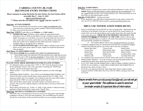# **CARROLL COUNTY JR. FAIR 2022 ONLINE ENTRY INSTRUCTIONS**

Please read prior to using ShoWorks On-Line Entries. On-Line Entries will be

accessible May 9 - June 11, 2022

https://carrol.fairwire.com

\*\*\*Please note the web address uses 'carrol' and not 'carroll'\*\*\*

### **Step One: ACCESS WEBSITE**

Access our ShoWorks On-Line Entry system at http://carrol.fairwire.com Users must have JavaScript and Cookies enabled. Follow posted instructions. \*\*\* There is no cost for this service!\*\*\*

### Step Two: LOGIN (Login either as an Exhibitor or a Club Leader.)

- **EXHIBITOR Login:** Exhibitors, please supply the requested personal  $\triangleright$ information. New in 2020 was the ability to create a Passport account. This is highly encouraged, as it will allow you to have the same login info from year to year, see previous year entries, and it allows you the ability to make entries at other shows (that you are eligible for) that utilize Showorks. Passport is available online or via app for iOS or Android.
- CLUB LEADER/CHAPTER Login: Clubs/Chapters wanting to enter on-line,  $\blacktriangleright$ please use the 'quick group' option for login. Supply the requested information when prompted.

### **Step Three: CLASS/EXHIBIT ENTRY**

- YOU MUST ENTER ALL CLASSES YOU WISH TO PARTICIPATE IN!
	- Each exhibit needs to be entered by Division and then class within that division.
	- Please be sure to fill out all areas completely to insure proper class assignment.
	- You do NOT need to declare which animal you will be using, if you tagged in multiple animals.

# PLEASE NOTE THESE DIFFERENCES FOR ON-LINE ENTRIES:

- For still project items, you must select "YES" or "NO" from the drop down menu for the still project auction. This is the equivalent of selecting the "Still Project" Auction" sale box on the paper entry form.
- $\bullet$ Market animals  $-$  if you want to bring two market animals, you must make two entries.
- Outstanding Market Exhibitor there will be no Outstanding Market Exhibitor class listed in the online system. Instead, please simply check the box for 'OME' when entering a market class. For example, if you wanted to enter the swine OME contest, please check the 'OME' box when entering the market hog class.
- Dairy beef feeders, market ducks, and market turkeys are listed as their own division. This is just for computer purposes, and they follow all rules as listed in the Jr. Fair Book.
- $\blacksquare$ Horse entries will need to say "Trailer" or "Stall" on the website to indicate housing preference. Please list the horse's name in the "Tag ID" Box.

### **Step Four: REVIEW & CONFIRM DATA ENTERED**

 $\blacktriangleright$ ShoWorks uses a two-step process for you to review your entry and to acknowledge compliance with the Jr. Fair rules and regulations. The word YES must be entered into the box at the bottom of the second screen before you can complete submission.

# **Step Five: SUBMIT/PRINT**

When you have completed your entries and confirmed adherence to rules, click on **Submit.** Please use the print option to create a hard copy of your submission! It is also suggested that you have your receipt emailed to you. These documents are your proof that you did indeed register on-line!

### Step Six: ENJOYMENT – Sit back and relax!

If you should have any difficulties/complications/fits of rage, please contact Wes Frew at 234-521-3909 OR send an email to carroll count virfair @ gmail.com.

# **DRUG USE NOTIFICATION FORM (DUNF)**

- Drug Use Notification Forms (DUNF) are only accepted online. Approximately one 1. week prior to the Monday of the fair (or carcass drop off for carcass entries), an email will be sent to the email address used to make entries that will contain the link to the online drug form. THESE MUST BE PROPERLY FILLED OUT AND SUBMITTED PRIOR TO WEIGH-IN AT THE FAIR! Failure to fill out and submit the drug forms prior to weigh-in will result in the animal not being weighed, and consequently ineligible for competition.
	- The website address will be www.carrollcountyfairohio.com/dunf
- A properly completed Drug Use Notification From (DUNF) is required for EACH  $2^{1}$ animal of the following species, due at the scales at the time of weigh-in.

|                   | minar or the following species, and at the searcs at the third of weight in. |                        |
|-------------------|------------------------------------------------------------------------------|------------------------|
| Market Beef Steer | Carcass Lamb                                                                 | Market Duck            |
| Carcass Steer     | Market Dairy Steer                                                           | Pen of Market Chickens |
| Market Hog        | Dairy Beef Feeder                                                            | Market Turkey          |
| Carcass Hog       | Market Goat                                                                  | Lactating Dairy Cattle |
| Market Lamb       | Carcass Goat                                                                 | Lactating Dairy Goat   |
|                   | $\sqrt{1 + \alpha}$ $\sqrt{11}$ $\sqrt{11}$ $\sqrt{11}$ $\sqrt{11}$          |                        |

- To completely and correctly fill out a DUNF, please fully answer every prompt.  $3.$
- 4. Market poultry exhibitors – if you do not know your leg/wing band numbers when completing the online form, please leave the ID box blank.
- 5. IF AT ANY TIME AFTER SUBMITTING A DRUG FORM A MEDICATION IS GIVEN TO AN ANIMAL, A NEW DRUG FORM MUST BE SUBMITTED. If during the fair, please see Ray or Wes.
- If you have any questions about the online drug forms, please contact Lynden 6. Ferguson (330-627-2300 x205), Wes Frew (234-521-3909), or Katrina Nitz (330- $627 - 4310$ ).

Ensure emails from carrollcounty irfair@gmail.com do not go to your spamfolder. This address is used to send out reminder emails & important bits of information.